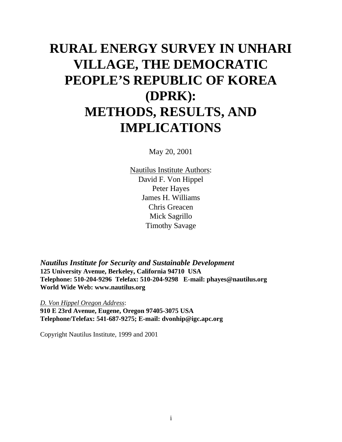# **RURAL ENERGY SURVEY IN UNHARI VILLAGE, THE DEMOCRATIC PEOPLE'S REPUBLIC OF KOREA (DPRK): METHODS, RESULTS, AND IMPLICATIONS**

May 20, 2001

Nautilus Institute Authors: David F. Von Hippel Peter Hayes James H. Williams Chris Greacen Mick Sagrillo Timothy Savage

*Nautilus Institute for Security and Sustainable Development* **125 University Avenue, Berkeley, California 94710 USA Telephone: 510-204-9296 Telefax: 510-204-9298 E-mail: phayes@nautilus.org World Wide Web: www.nautilus.org**

*D. Von Hippel Oregon Address*: **910 E 23rd Avenue, Eugene, Oregon 97405-3075 USA Telephone/Telefax: 541-687-9275; E-mail: dvonhip@igc.apc.org**

Copyright Nautilus Institute, 1999 and 2001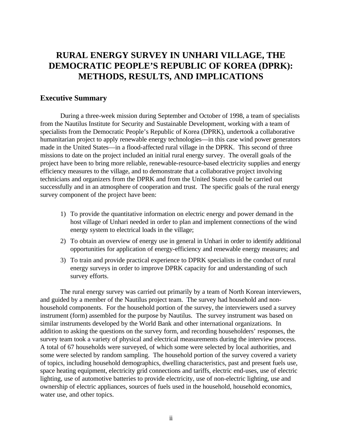# **RURAL ENERGY SURVEY IN UNHARI VILLAGE, THE DEMOCRATIC PEOPLE'S REPUBLIC OF KOREA (DPRK): METHODS, RESULTS, AND IMPLICATIONS**

# **Executive Summary**

During a three-week mission during September and October of 1998, a team of specialists from the Nautilus Institute for Security and Sustainable Development, working with a team of specialists from the Democratic People's Republic of Korea (DPRK), undertook a collaborative humanitarian project to apply renewable energy technologies—in this case wind power generators made in the United States—in a flood-affected rural village in the DPRK. This second of three missions to date on the project included an initial rural energy survey. The overall goals of the project have been to bring more reliable, renewable-resource-based electricity supplies and energy efficiency measures to the village, and to demonstrate that a collaborative project involving technicians and organizers from the DPRK and from the United States could be carried out successfully and in an atmosphere of cooperation and trust. The specific goals of the rural energy survey component of the project have been:

- 1) To provide the quantitative information on electric energy and power demand in the host village of Unhari needed in order to plan and implement connections of the wind energy system to electrical loads in the village;
- 2) To obtain an overview of energy use in general in Unhari in order to identify additional opportunities for application of energy-efficiency and renewable energy measures; and
- 3) To train and provide practical experience to DPRK specialists in the conduct of rural energy surveys in order to improve DPRK capacity for and understanding of such survey efforts.

The rural energy survey was carried out primarily by a team of North Korean interviewers, and guided by a member of the Nautilus project team. The survey had household and nonhousehold components. For the household portion of the survey, the interviewers used a survey instrument (form) assembled for the purpose by Nautilus. The survey instrument was based on similar instruments developed by the World Bank and other international organizations. In addition to asking the questions on the survey form, and recording householders' responses, the survey team took a variety of physical and electrical measurements during the interview process. A total of 67 households were surveyed, of which some were selected by local authorities, and some were selected by random sampling. The household portion of the survey covered a variety of topics, including household demographics, dwelling characteristics, past and present fuels use, space heating equipment, electricity grid connections and tariffs, electric end-uses, use of electric lighting, use of automotive batteries to provide electricity, use of non-electric lighting, use and ownership of electric appliances, sources of fuels used in the household, household economics, water use, and other topics.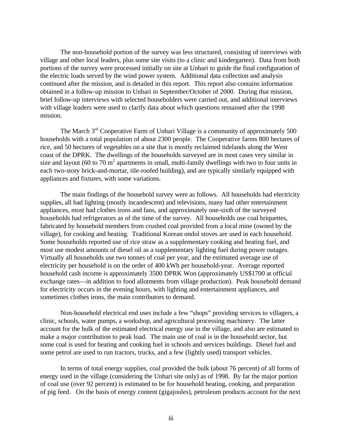The non-household portion of the survey was less structured, consisting of interviews with village and other local leaders, plus some site visits (to a clinic and kindergarten). Data from both portions of the survey were processed initially on site at Unhari to guide the final configuration of the electric loads served by the wind power system. Additional data collection and analysis continued after the mission, and is detailed in this report. This report also contains information obtained in a follow-up mission to Unhari in September/October of 2000. During that mission, brief follow-up interviews with selected householders were carried out, and additional interviews with village leaders were used to clarify data about which questions remained after the 1998 mission.

The March 3<sup>rd</sup> Cooperative Farm of Unhari Village is a community of approximately 500 households with a total population of about 2300 people. The Cooperative farms 800 hectares of rice, and 50 hectares of vegetables on a site that is mostly reclaimed tidelands along the West coast of the DPRK. The dwellings of the households surveyed are in most cases very similar in size and layout (60 to 70  $m^2$  apartments in small, multi-family dwellings with two to four units in each two-story brick-and-mortar, tile-roofed building), and are typically similarly equipped with appliances and fixtures, with some variations.

The main findings of the household survey were as follows. All households had electricity supplies, all had lighting (mostly incandescent) and televisions, many had other entertainment appliances, most had clothes irons and fans, and approximately one-sixth of the surveyed households had refrigerators as of the time of the survey. All households use coal briquettes, fabricated by household members from crushed coal provided from a local mine (owned by the village), for cooking and heating. Traditional Korean ondol stoves are used in each household. Some households reported use of rice straw as a supplementary cooking and heating fuel, and most use modest amounts of diesel oil as a supplementary lighting fuel during power outages. Virtually all households use two tonnes of coal per year, and the estimated average use of electricity per household is on the order of 400 kWh per household-year. Average reported household cash income is approximately 3500 DPRK Won (approximately US\$1700 at official exchange rates—in addition to food allotments from village production). Peak household demand for electricity occurs in the evening hours, with lighting and entertainment appliances, and sometimes clothes irons, the main contributors to demand.

Non-household electrical end uses include a few "shops" providing services to villagers, a clinic, schools, water pumps, a workshop, and agricultural processing machinery. The latter account for the bulk of the estimated electrical energy use in the village, and also are estimated to make a major contribution to peak load. The main use of coal is in the household sector, but some coal is used for heating and cooking fuel in schools and services buildings. Diesel fuel and some petrol are used to run tractors, trucks, and a few (lightly used) transport vehicles.

In terms of total energy supplies, coal provided the bulk (about 76 percent) of all forms of energy used in the village (considering the Unhari site only) as of 1998. By far the major portion of coal use (over 92 percent) is estimated to be for household heating, cooking, and preparation of pig feed. On the basis of energy content (gigajoules), petroleum products account for the next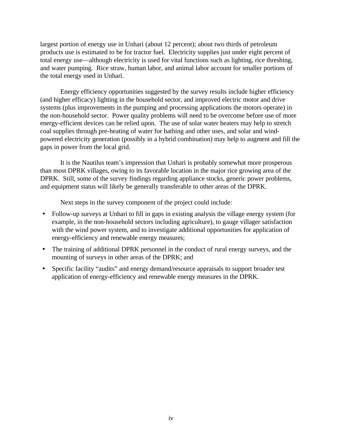largest portion of energy use in Unhari (about 12 percent); about two thirds of petroleum products use is estimated to be for tractor fuel. Electricity supplies just under eight percent of total energy use—although electricity is used for vital functions such as lighting, rice threshing, and water pumping. Rice straw, human labor, and animal labor account for smaller portions of the total energy used in Unhari.

Energy efficiency opportunities suggested by the survey results include higher efficiency (and higher efficacy) lighting in the household sector, and improved electric motor and drive systems (plus improvements in the pumping and processing applications the motors operate) in the non-household sector. Power quality problems will need to be overcome before use of more energy-efficient devices can be relied upon. The use of solar water heaters may help to stretch coal supplies through pre-heating of water for bathing and other uses, and solar and windpowered electricity generation (possibly in a hybrid combination) may help to augment and fill the gaps in power from the local grid.

It is the Nautilus team's impression that Unhari is probably somewhat more prosperous than most DPRK villages, owing to its favorable location in the major rice growing area of the DPRK. Still, some of the survey findings regarding appliance stocks, generic power problems, and equipment status will likely be generally transferable to other areas of the DPRK.

Next steps in the survey component of the project could include:

- Follow-up surveys at Unhari to fill in gaps in existing analysis the village energy system (for example, in the non-household sectors including agriculture), to gauge villager satisfaction with the wind power system, and to investigate additional opportunities for application of energy-efficiency and renewable energy measures;
- The training of additional DPRK personnel in the conduct of rural energy surveys, and the mounting of surveys in other areas of the DPRK; and
- Specific facility "audits" and energy demand/resource appraisals to support broader test application of energy-efficiency and renewable energy measures in the DPRK.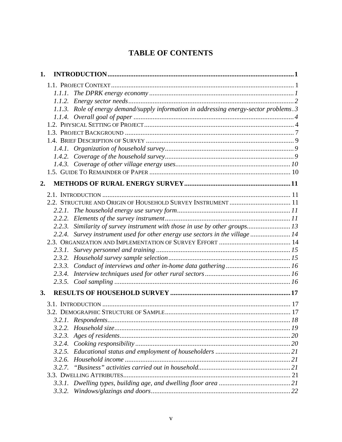# **TABLE OF CONTENTS**

| 1.     |                                                                                         |  |
|--------|-----------------------------------------------------------------------------------------|--|
|        |                                                                                         |  |
| 1.1.1. |                                                                                         |  |
|        |                                                                                         |  |
|        | 1.1.3. Role of energy demand/supply information in addressing energy-sector problems. 3 |  |
|        |                                                                                         |  |
|        |                                                                                         |  |
|        |                                                                                         |  |
|        |                                                                                         |  |
|        |                                                                                         |  |
|        |                                                                                         |  |
|        |                                                                                         |  |
|        |                                                                                         |  |
| 2.     |                                                                                         |  |
|        |                                                                                         |  |
|        | 2.2. STRUCTURE AND ORIGIN OF HOUSEHOLD SURVEY INSTRUMENT  11                            |  |
|        |                                                                                         |  |
| 2.2.2. |                                                                                         |  |
| 2.2.3. | Similarity of survey instrument with those in use by other groups 13                    |  |
|        | 2.2.4. Survey instrument used for other energy use sectors in the village  14           |  |
|        |                                                                                         |  |
| 2.3.1. |                                                                                         |  |
| 2.3.2. |                                                                                         |  |
|        |                                                                                         |  |
| 2.3.4. |                                                                                         |  |
|        |                                                                                         |  |
| 3.     |                                                                                         |  |
|        |                                                                                         |  |
|        |                                                                                         |  |
|        |                                                                                         |  |
| 3.2.2. |                                                                                         |  |
| 3.2.3. |                                                                                         |  |
| 3.2.4. |                                                                                         |  |
| 3.2.5. |                                                                                         |  |
| 3.2.6. |                                                                                         |  |
| 3.2.7. |                                                                                         |  |
|        |                                                                                         |  |
|        |                                                                                         |  |
| 3.3.2. |                                                                                         |  |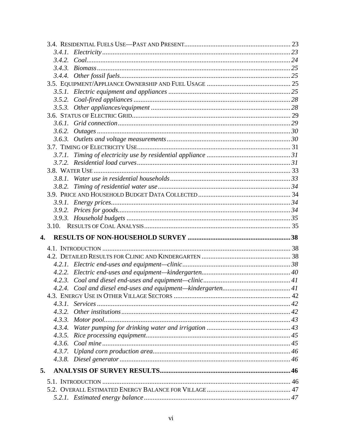|    | 3.5.3. |  |
|----|--------|--|
|    |        |  |
|    |        |  |
|    | 3.6.2. |  |
|    |        |  |
|    |        |  |
|    |        |  |
|    |        |  |
|    |        |  |
|    | 381    |  |
|    |        |  |
|    |        |  |
|    |        |  |
|    |        |  |
|    |        |  |
|    |        |  |
| 4. |        |  |
|    |        |  |
|    |        |  |
|    |        |  |
|    | 4.2.2. |  |
|    |        |  |
|    | 4.2.4. |  |
|    |        |  |
|    | 4.3.1. |  |
|    | 4.3.2. |  |
|    |        |  |
|    | 4.3.4. |  |
|    | 4.3.5. |  |
|    |        |  |
|    | 4.3.7. |  |
|    |        |  |
| 5. |        |  |
|    |        |  |
|    |        |  |
|    |        |  |
|    |        |  |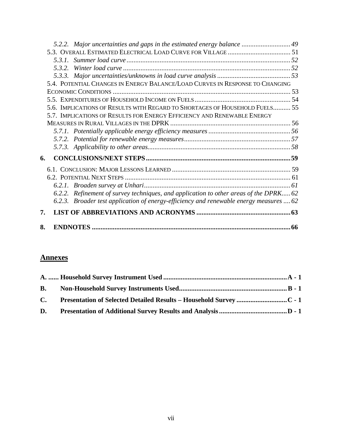| 8. |                                                                                                                                                                                 |    |
|----|---------------------------------------------------------------------------------------------------------------------------------------------------------------------------------|----|
| 7. |                                                                                                                                                                                 |    |
|    | 6.2.2. Refinement of survey techniques, and application to other areas of the DPRK 62<br>6.2.3. Broader test application of energy-efficiency and renewable energy measures  62 | 61 |
| 6. |                                                                                                                                                                                 |    |
|    |                                                                                                                                                                                 |    |
|    |                                                                                                                                                                                 |    |
|    |                                                                                                                                                                                 |    |
|    | 5.6. IMPLICATIONS OF RESULTS WITH REGARD TO SHORTAGES OF HOUSEHOLD FUELS 55<br>5.7. IMPLICATIONS OF RESULTS FOR ENERGY EFFICIENCY AND RENEWABLE ENERGY                          |    |
|    |                                                                                                                                                                                 |    |
|    | 5.4. POTENTIAL CHANGES IN ENERGY BALANCE/LOAD CURVES IN RESPONSE TO CHANGING                                                                                                    |    |
|    | 5.3.1.<br>532                                                                                                                                                                   |    |
|    | 5.2.2. Major uncertainties and gaps in the estimated energy balance  49                                                                                                         |    |

# **Annexes**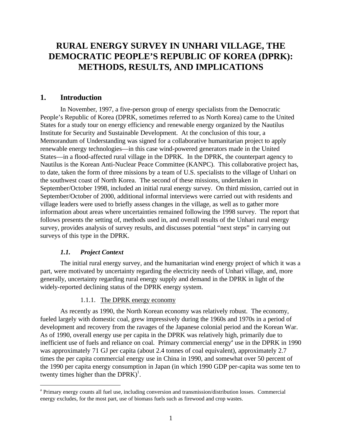# **RURAL ENERGY SURVEY IN UNHARI VILLAGE, THE DEMOCRATIC PEOPLE'S REPUBLIC OF KOREA (DPRK): METHODS, RESULTS, AND IMPLICATIONS**

# **1. Introduction**

In November, 1997, a five-person group of energy specialists from the Democratic People's Republic of Korea (DPRK, sometimes referred to as North Korea) came to the United States for a study tour on energy efficiency and renewable energy organized by the Nautilus Institute for Security and Sustainable Development. At the conclusion of this tour, a Memorandum of Understanding was signed for a collaborative humanitarian project to apply renewable energy technologies—in this case wind-powered generators made in the United States—in a flood-affected rural village in the DPRK. In the DPRK, the counterpart agency to Nautilus is the Korean Anti-Nuclear Peace Committee (KANPC). This collaborative project has, to date, taken the form of three missions by a team of U.S. specialists to the village of Unhari on the southwest coast of North Korea. The second of these missions, undertaken in September/October 1998, included an initial rural energy survey. On third mission, carried out in September/October of 2000, additional informal interviews were carried out with residents and village leaders were used to briefly assess changes in the village, as well as to gather more information about areas where uncertainties remained following the 1998 survey. The report that follows presents the setting of, methods used in, and overall results of the Unhari rural energy survey, provides analysis of survey results, and discusses potential "next steps" in carrying out surveys of this type in the DPRK.

#### *1.1. Project Context*

<u>.</u>

The initial rural energy survey, and the humanitarian wind energy project of which it was a part, were motivated by uncertainty regarding the electricity needs of Unhari village, and, more generally, uncertainty regarding rural energy supply and demand in the DPRK in light of the widely-reported declining status of the DPRK energy system.

#### 1.1.1. The DPRK energy economy

As recently as 1990, the North Korean economy was relatively robust. The economy, fueled largely with domestic coal, grew impressively during the 1960s and 1970s in a period of development and recovery from the ravages of the Japanese colonial period and the Korean War. As of 1990, overall energy use per capita in the DPRK was relatively high, primarily due to inefficient use of fuels and reliance on coal. Primary commercial energy<sup>a</sup> use in the DPRK in 1990 was approximately 71 GJ per capita (about 2.4 tonnes of coal equivalent), approximately 2.7 times the per capita commercial energy use in China in 1990, and somewhat over 50 percent of the 1990 per capita energy consumption in Japan (in which 1990 GDP per-capita was some ten to twenty times higher than the  $DPRK$ <sup>1</sup>.

<sup>&</sup>lt;sup>a</sup> Primary energy counts all fuel use, including conversion and transmission/distribution losses. Commercial energy excludes, for the most part, use of biomass fuels such as firewood and crop wastes.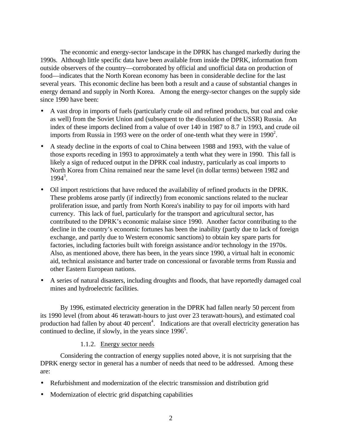The economic and energy-sector landscape in the DPRK has changed markedly during the 1990s. Although little specific data have been available from inside the DPRK, information from outside observers of the country—corroborated by official and unofficial data on production of food—indicates that the North Korean economy has been in considerable decline for the last several years. This economic decline has been both a result and a cause of substantial changes in energy demand and supply in North Korea. Among the energy-sector changes on the supply side since 1990 have been:

- A vast drop in imports of fuels (particularly crude oil and refined products, but coal and coke as well) from the Soviet Union and (subsequent to the dissolution of the USSR) Russia. An index of these imports declined from a value of over 140 in 1987 to 8.7 in 1993, and crude oil imports from Russia in 1993 were on the order of one-tenth what they were in  $1990^2$ .
- A steady decline in the exports of coal to China between 1988 and 1993, with the value of those exports receding in 1993 to approximately a tenth what they were in 1990. This fall is likely a sign of reduced output in the DPRK coal industry, particularly as coal imports to North Korea from China remained near the same level (in dollar terms) between 1982 and  $1994^3$ .
- Oil import restrictions that have reduced the availability of refined products in the DPRK. These problems arose partly (if indirectly) from economic sanctions related to the nuclear proliferation issue, and partly from North Korea's inability to pay for oil imports with hard currency. This lack of fuel, particularly for the transport and agricultural sector, has contributed to the DPRK's economic malaise since 1990. Another factor contributing to the decline in the country's economic fortunes has been the inability (partly due to lack of foreign exchange, and partly due to Western economic sanctions) to obtain key spare parts for factories, including factories built with foreign assistance and/or technology in the 1970s. Also, as mentioned above, there has been, in the years since 1990, a virtual halt in economic aid, technical assistance and barter trade on concessional or favorable terms from Russia and other Eastern European nations.
- A series of natural disasters, including droughts and floods, that have reportedly damaged coal mines and hydroelectric facilities.

By 1996, estimated electricity generation in the DPRK had fallen nearly 50 percent from its 1990 level (from about 46 terawatt-hours to just over 23 terawatt-hours), and estimated coal production had fallen by about 40 percent<sup>4</sup>. Indications are that overall electricity generation has continued to decline, if slowly, in the years since  $1996<sup>5</sup>$ .

#### 1.1.2. Energy sector needs

Considering the contraction of energy supplies noted above, it is not surprising that the DPRK energy sector in general has a number of needs that need to be addressed. Among these are:

- Refurbishment and modernization of the electric transmission and distribution grid
- Modernization of electric grid dispatching capabilities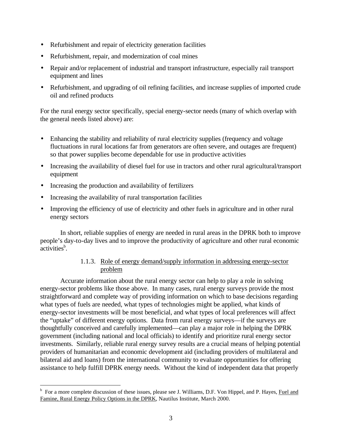- Refurbishment and repair of electricity generation facilities
- Refurbishment, repair, and modernization of coal mines
- Repair and/or replacement of industrial and transport infrastructure, especially rail transport equipment and lines
- Refurbishment, and upgrading of oil refining facilities, and increase supplies of imported crude oil and refined products

For the rural energy sector specifically, special energy-sector needs (many of which overlap with the general needs listed above) are:

- Enhancing the stability and reliability of rural electricity supplies (frequency and voltage fluctuations in rural locations far from generators are often severe, and outages are frequent) so that power supplies become dependable for use in productive activities
- Increasing the availability of diesel fuel for use in tractors and other rural agricultural/transport equipment
- Increasing the production and availability of fertilizers

 $\overline{a}$ 

- Increasing the availability of rural transportation facilities
- Improving the efficiency of use of electricity and other fuels in agriculture and in other rural energy sectors

In short, reliable supplies of energy are needed in rural areas in the DPRK both to improve people's day-to-day lives and to improve the productivity of agriculture and other rural economic activities<sup>b</sup>.

# 1.1.3. Role of energy demand/supply information in addressing energy-sector problem

Accurate information about the rural energy sector can help to play a role in solving energy-sector problems like those above. In many cases, rural energy surveys provide the most straightforward and complete way of providing information on which to base decisions regarding what types of fuels are needed, what types of technologies might be applied, what kinds of energy-sector investments will be most beneficial, and what types of local preferences will affect the "uptake" of different energy options. Data from rural energy surveys—if the surveys are thoughtfully conceived and carefully implemented—can play a major role in helping the DPRK government (including national and local officials) to identify and prioritize rural energy sector investments. Similarly, reliable rural energy survey results are a crucial means of helping potential providers of humanitarian and economic development aid (including providers of multilateral and bilateral aid and loans) from the international community to evaluate opportunities for offering assistance to help fulfill DPRK energy needs. Without the kind of independent data that properly

<sup>&</sup>lt;sup>b</sup> For a more complete discussion of these issues, please see J. Williams, D.F. Von Hippel, and P. Hayes, Fuel and Famine, Rural Energy Policy Options in the DPRK, Nautilus Institute, March 2000.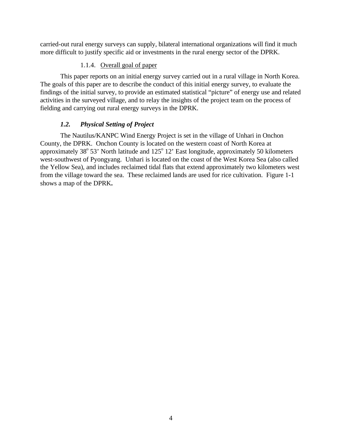carried-out rural energy surveys can supply, bilateral international organizations will find it much more difficult to justify specific aid or investments in the rural energy sector of the DPRK.

#### 1.1.4. Overall goal of paper

This paper reports on an initial energy survey carried out in a rural village in North Korea. The goals of this paper are to describe the conduct of this initial energy survey, to evaluate the findings of the initial survey, to provide an estimated statistical "picture" of energy use and related activities in the surveyed village, and to relay the insights of the project team on the process of fielding and carrying out rural energy surveys in the DPRK.

# *1.2. Physical Setting of Project*

The Nautilus/KANPC Wind Energy Project is set in the village of Unhari in Onchon County, the DPRK. Onchon County is located on the western coast of North Korea at approximately  $38^{\circ}$  53' North latitude and  $125^{\circ}$  12' East longitude, approximately 50 kilometers west-southwest of Pyongyang. Unhari is located on the coast of the West Korea Sea (also called the Yellow Sea), and includes reclaimed tidal flats that extend approximately two kilometers west from the village toward the sea. These reclaimed lands are used for rice cultivation. Figure 1-1 shows a map of the DPRK**.**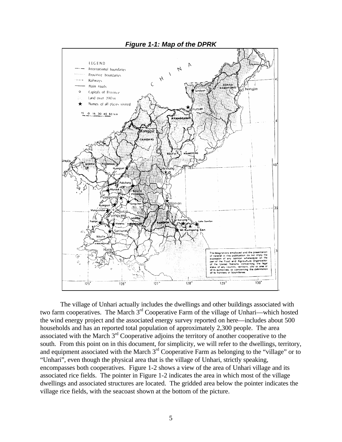

The village of Unhari actually includes the dwellings and other buildings associated with two farm cooperatives. The March 3rd Cooperative Farm of the village of Unhari—which hosted the wind energy project and the associated energy survey reported on here—includes about 500 households and has an reported total population of approximately 2,300 people. The area associated with the March 3rd Cooperative adjoins the territory of another cooperative to the south. From this point on in this document, for simplicity, we will refer to the dwellings, territory, and equipment associated with the March 3<sup>rd</sup> Cooperative Farm as belonging to the "village" or to "Unhari", even though the physical area that is the village of Unhari, strictly speaking, encompasses both cooperatives. Figure 1-2 shows a view of the area of Unhari village and its associated rice fields. The pointer in Figure 1-2 indicates the area in which most of the village dwellings and associated structures are located. The gridded area below the pointer indicates the village rice fields, with the seacoast shown at the bottom of the picture.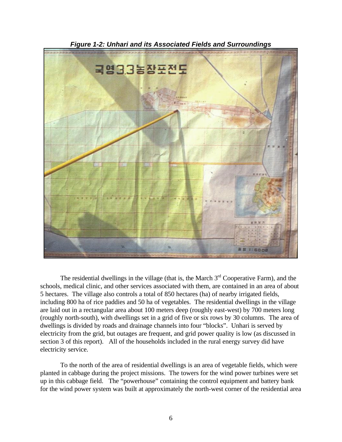

*Figure 1-2: Unhari and its Associated Fields and Surroundings*

The residential dwellings in the village (that is, the March  $3<sup>rd</sup>$  Cooperative Farm), and the schools, medical clinic, and other services associated with them, are contained in an area of about 5 hectares. The village also controls a total of 850 hectares (ha) of nearby irrigated fields, including 800 ha of rice paddies and 50 ha of vegetables. The residential dwellings in the village are laid out in a rectangular area about 100 meters deep (roughly east-west) by 700 meters long (roughly north-south), with dwellings set in a grid of five or six rows by 30 columns. The area of dwellings is divided by roads and drainage channels into four "blocks". Unhari is served by electricity from the grid, but outages are frequent, and grid power quality is low (as discussed in section 3 of this report). All of the households included in the rural energy survey did have electricity service.

To the north of the area of residential dwellings is an area of vegetable fields, which were planted in cabbage during the project missions. The towers for the wind power turbines were set up in this cabbage field. The "powerhouse" containing the control equipment and battery bank for the wind power system was built at approximately the north-west corner of the residential area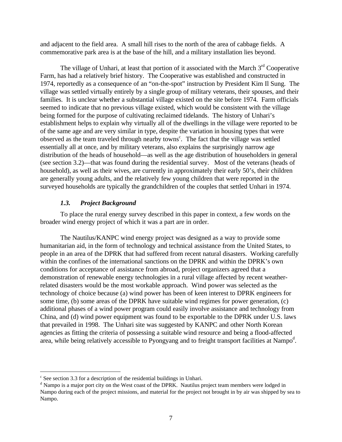and adjacent to the field area. A small hill rises to the north of the area of cabbage fields. A commemorative park area is at the base of the hill, and a military installation lies beyond.

The village of Unhari, at least that portion of it associated with the March  $3<sup>rd</sup>$  Cooperative Farm, has had a relatively brief history. The Cooperative was established and constructed in 1974, reportedly as a consequence of an "on-the-spot" instruction by President Kim Il Sung. The village was settled virtually entirely by a single group of military veterans, their spouses, and their families. It is unclear whether a substantial village existed on the site before 1974. Farm officials seemed to indicate that no previous village existed, which would be consistent with the village being formed for the purpose of cultivating reclaimed tidelands. The history of Unhari's establishment helps to explain why virtually all of the dwellings in the village were reported to be of the same age and are very similar in type, despite the variation in housing types that were observed as the team traveled through nearby towns<sup>c</sup>. The fact that the village was settled essentially all at once, and by military veterans, also explains the surprisingly narrow age distribution of the heads of household—as well as the age distribution of householders in general (see section 3.2)—that was found during the residential survey. Most of the veterans (heads of household), as well as their wives, are currently in approximately their early 50's, their children are generally young adults, and the relatively few young children that were reported in the surveyed households are typically the grandchildren of the couples that settled Unhari in 1974.

#### *1.3. Project Background*

To place the rural energy survey described in this paper in context, a few words on the broader wind energy project of which it was a part are in order.

The Nautilus/KANPC wind energy project was designed as a way to provide some humanitarian aid, in the form of technology and technical assistance from the United States, to people in an area of the DPRK that had suffered from recent natural disasters. Working carefully within the confines of the international sanctions on the DPRK and within the DPRK's own conditions for acceptance of assistance from abroad, project organizers agreed that a demonstration of renewable energy technologies in a rural village affected by recent weatherrelated disasters would be the most workable approach. Wind power was selected as the technology of choice because (a) wind power has been of keen interest to DPRK engineers for some time, (b) some areas of the DPRK have suitable wind regimes for power generation, (c) additional phases of a wind power program could easily involve assistance and technology from China, and (d) wind power equipment was found to be exportable to the DPRK under U.S. laws that prevailed in 1998. The Unhari site was suggested by KANPC and other North Korean agencies as fitting the criteria of possessing a suitable wind resource and being a flood-affected area, while being relatively accessible to Pyongyang and to freight transport facilities at Nampo<sup>d</sup>.

<u>.</u>

<sup>&</sup>lt;sup>c</sup> See section 3.3 for a description of the residential buildings in Unhari.

<sup>&</sup>lt;sup>d</sup> Nampo is a major port city on the West coast of the DPRK. Nautilus project team members were lodged in Nampo during each of the project missions, and material for the project not brought in by air was shipped by sea to Nampo.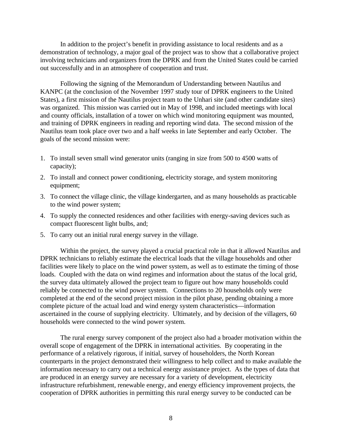In addition to the project's benefit in providing assistance to local residents and as a demonstration of technology, a major goal of the project was to show that a collaborative project involving technicians and organizers from the DPRK and from the United States could be carried out successfully and in an atmosphere of cooperation and trust.

Following the signing of the Memorandum of Understanding between Nautilus and KANPC (at the conclusion of the November 1997 study tour of DPRK engineers to the United States), a first mission of the Nautilus project team to the Unhari site (and other candidate sites) was organized. This mission was carried out in May of 1998, and included meetings with local and county officials, installation of a tower on which wind monitoring equipment was mounted, and training of DPRK engineers in reading and reporting wind data. The second mission of the Nautilus team took place over two and a half weeks in late September and early October. The goals of the second mission were:

- 1. To install seven small wind generator units (ranging in size from 500 to 4500 watts of capacity);
- 2. To install and connect power conditioning, electricity storage, and system monitoring equipment;
- 3. To connect the village clinic, the village kindergarten, and as many households as practicable to the wind power system;
- 4. To supply the connected residences and other facilities with energy-saving devices such as compact fluorescent light bulbs, and;
- 5. To carry out an initial rural energy survey in the village.

Within the project, the survey played a crucial practical role in that it allowed Nautilus and DPRK technicians to reliably estimate the electrical loads that the village households and other facilities were likely to place on the wind power system, as well as to estimate the timing of those loads. Coupled with the data on wind regimes and information about the status of the local grid, the survey data ultimately allowed the project team to figure out how many households could reliably be connected to the wind power system. Connections to 20 households only were completed at the end of the second project mission in the pilot phase, pending obtaining a more complete picture of the actual load and wind energy system characteristics—information ascertained in the course of supplying electricity. Ultimately, and by decision of the villagers, 60 households were connected to the wind power system.

The rural energy survey component of the project also had a broader motivation within the overall scope of engagement of the DPRK in international activities. By cooperating in the performance of a relatively rigorous, if initial, survey of householders, the North Korean counterparts in the project demonstrated their willingness to help collect and to make available the information necessary to carry out a technical energy assistance project. As the types of data that are produced in an energy survey are necessary for a variety of development, electricity infrastructure refurbishment, renewable energy, and energy efficiency improvement projects, the cooperation of DPRK authorities in permitting this rural energy survey to be conducted can be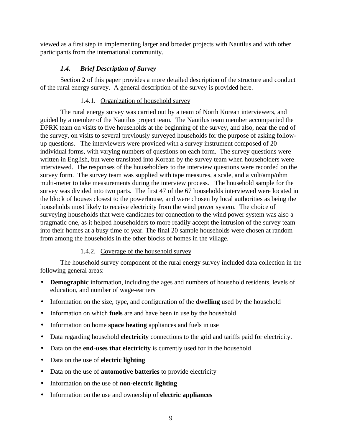viewed as a first step in implementing larger and broader projects with Nautilus and with other participants from the international community.

# *1.4. Brief Description of Survey*

Section 2 of this paper provides a more detailed description of the structure and conduct of the rural energy survey. A general description of the survey is provided here.

# 1.4.1. Organization of household survey

The rural energy survey was carried out by a team of North Korean interviewers, and guided by a member of the Nautilus project team. The Nautilus team member accompanied the DPRK team on visits to five households at the beginning of the survey, and also, near the end of the survey, on visits to several previously surveyed households for the purpose of asking followup questions. The interviewers were provided with a survey instrument composed of 20 individual forms, with varying numbers of questions on each form. The survey questions were written in English, but were translated into Korean by the survey team when householders were interviewed. The responses of the householders to the interview questions were recorded on the survey form. The survey team was supplied with tape measures, a scale, and a volt/amp/ohm multi-meter to take measurements during the interview process. The household sample for the survey was divided into two parts. The first 47 of the 67 households interviewed were located in the block of houses closest to the powerhouse, and were chosen by local authorities as being the households most likely to receive electricity from the wind power system. The choice of surveying households that were candidates for connection to the wind power system was also a pragmatic one, as it helped householders to more readily accept the intrusion of the survey team into their homes at a busy time of year. The final 20 sample households were chosen at random from among the households in the other blocks of homes in the village.

# 1.4.2. Coverage of the household survey

The household survey component of the rural energy survey included data collection in the following general areas:

- **Demographic** information, including the ages and numbers of household residents, levels of education, and number of wage-earners
- Information on the size, type, and configuration of the **dwelling** used by the household
- Information on which **fuels** are and have been in use by the household
- Information on home **space heating** appliances and fuels in use
- Data regarding household **electricity** connections to the grid and tariffs paid for electricity.
- Data on the **end-uses that electricity** is currently used for in the household
- Data on the use of **electric lighting**
- Data on the use of **automotive batteries** to provide electricity
- Information on the use of **non-electric lighting**
- Information on the use and ownership of **electric appliances**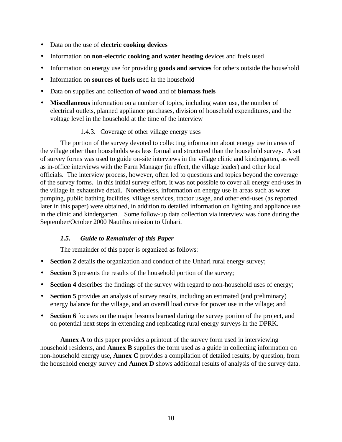- Data on the use of **electric cooking devices**
- Information on **non-electric cooking and water heating** devices and fuels used
- Information on energy use for providing **goods and services** for others outside the household
- Information on **sources of fuels** used in the household
- Data on supplies and collection of **wood** and of **biomass fuels**
- **Miscellaneous** information on a number of topics, including water use, the number of electrical outlets, planned appliance purchases, division of household expenditures, and the voltage level in the household at the time of the interview

# 1.4.3. Coverage of other village energy uses

The portion of the survey devoted to collecting information about energy use in areas of the village other than households was less formal and structured than the household survey. A set of survey forms was used to guide on-site interviews in the village clinic and kindergarten, as well as in-office interviews with the Farm Manager (in effect, the village leader) and other local officials. The interview process, however, often led to questions and topics beyond the coverage of the survey forms. In this initial survey effort, it was not possible to cover all energy end-uses in the village in exhaustive detail. Nonetheless, information on energy use in areas such as water pumping, public bathing facilities, village services, tractor usage, and other end-uses (as reported later in this paper) were obtained, in addition to detailed information on lighting and appliance use in the clinic and kindergarten. Some follow-up data collection via interview was done during the September/October 2000 Nautilus mission to Unhari.

# *1.5. Guide to Remainder of this Paper*

The remainder of this paper is organized as follows:

- **Section 2** details the organization and conduct of the Unhari rural energy survey;
- **Section 3** presents the results of the household portion of the survey;
- **Section 4** describes the findings of the survey with regard to non-household uses of energy;
- **Section 5** provides an analysis of survey results, including an estimated (and preliminary) energy balance for the village, and an overall load curve for power use in the village; and
- **Section 6** focuses on the major lessons learned during the survey portion of the project, and on potential next steps in extending and replicating rural energy surveys in the DPRK.

**Annex A** to this paper provides a printout of the survey form used in interviewing household residents, and **Annex B** supplies the form used as a guide in collecting information on non-household energy use, **Annex C** provides a compilation of detailed results, by question, from the household energy survey and **Annex D** shows additional results of analysis of the survey data.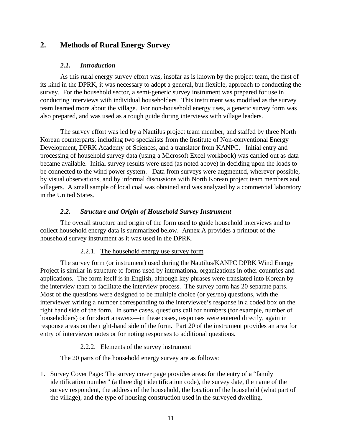# **2. Methods of Rural Energy Survey**

#### *2.1. Introduction*

As this rural energy survey effort was, insofar as is known by the project team, the first of its kind in the DPRK, it was necessary to adopt a general, but flexible, approach to conducting the survey. For the household sector, a semi-generic survey instrument was prepared for use in conducting interviews with individual householders. This instrument was modified as the survey team learned more about the village. For non-household energy uses, a generic survey form was also prepared, and was used as a rough guide during interviews with village leaders.

The survey effort was led by a Nautilus project team member, and staffed by three North Korean counterparts, including two specialists from the Institute of Non-conventional Energy Development, DPRK Academy of Sciences, and a translator from KANPC. Initial entry and processing of household survey data (using a Microsoft Excel workbook) was carried out as data became available. Initial survey results were used (as noted above) in deciding upon the loads to be connected to the wind power system. Data from surveys were augmented, wherever possible, by visual observations, and by informal discussions with North Korean project team members and villagers. A small sample of local coal was obtained and was analyzed by a commercial laboratory in the United States.

#### *2.2. Structure and Origin of Household Survey Instrument*

The overall structure and origin of the form used to guide household interviews and to collect household energy data is summarized below. Annex A provides a printout of the household survey instrument as it was used in the DPRK.

#### 2.2.1. The household energy use survey form

The survey form (or instrument) used during the Nautilus/KANPC DPRK Wind Energy Project is similar in structure to forms used by international organizations in other countries and applications. The form itself is in English, although key phrases were translated into Korean by the interview team to facilitate the interview process. The survey form has 20 separate parts. Most of the questions were designed to be multiple choice (or yes/no) questions, with the interviewer writing a number corresponding to the interviewee's response in a coded box on the right hand side of the form. In some cases, questions call for numbers (for example, number of householders) or for short answers—in these cases, responses were entered directly, again in response areas on the right-hand side of the form. Part 20 of the instrument provides an area for entry of interviewer notes or for noting responses to additional questions.

#### 2.2.2. Elements of the survey instrument

The 20 parts of the household energy survey are as follows:

1. Survey Cover Page: The survey cover page provides areas for the entry of a "family identification number" (a three digit identification code), the survey date, the name of the survey respondent, the address of the household, the location of the household (what part of the village), and the type of housing construction used in the surveyed dwelling.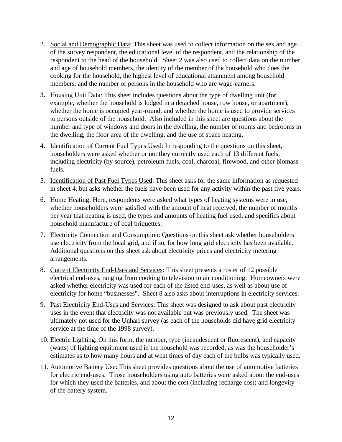- 2. Social and Demographic Data: This sheet was used to collect information on the sex and age of the survey respondent, the educational level of the respondent, and the relationship of the respondent to the head of the household. Sheet 2 was also used to collect data on the number and age of household members, the identity of the member of the household who does the cooking for the household, the highest level of educational attainment among household members, and the number of persons in the household who are wage-earners.
- 3. Housing Unit Data: This sheet includes questions about the type of dwelling unit (for example, whether the household is lodged in a detached house, row house, or apartment), whether the home is occupied year-round, and whether the home is used to provide services to persons outside of the household. Also included in this sheet are questions about the number and type of windows and doors in the dwelling, the number of rooms and bedrooms in the dwelling, the floor area of the dwelling, and the use of space heating.
- 4. Identification of Current Fuel Types Used: In responding to the questions on this sheet, householders were asked whether or not they currently used each of 13 different fuels, including electricity (by source), petroleum fuels, coal, charcoal, firewood, and other biomass fuels.
- 5. Identification of Past Fuel Types Used: This sheet asks for the same information as requested in sheet 4, but asks whether the fuels have been used for any activity within the past five years.
- 6. Home Heating: Here, respondents were asked what types of heating systems were in use, whether householders were satisfied with the amount of heat received, the number of months per year that heating is used, the types and amounts of heating fuel used, and specifics about household manufacture of coal briquettes.
- 7. Electricity Connection and Consumption: Questions on this sheet ask whether householders use electricity from the local grid, and if so, for how long grid electricity has been available. Additional questions on this sheet ask about electricity prices and electricity metering arrangements.
- 8. Current Electricity End-Uses and Services: This sheet presents a roster of 12 possible electrical end-uses, ranging from cooking to television to air conditioning. Homeowners were asked whether electricity was used for each of the listed end-uses, as well as about use of electricity for home "businesses". Sheet 8 also asks about interruptions in electricity services.
- 9. Past Electricity End-Uses and Services: This sheet was designed to ask about past electricity uses in the event that electricity was not available but was previously used. The sheet was ultimately not used for the Unhari survey (as each of the households did have grid electricity service at the time of the 1998 survey).
- 10. Electric Lighting: On this form, the number, type (incandescent or fluorescent), and capacity (watts) of lighting equipment used in the household was recorded, as was the householder's estimates as to how many hours and at what times of day each of the bulbs was typically used.
- 11. Automotive Battery Use: This sheet provides questions about the use of automotive batteries for electric end-uses. Those householders using auto batteries were asked about the end-uses for which they used the batteries, and about the cost (including recharge cost) and longevity of the battery system.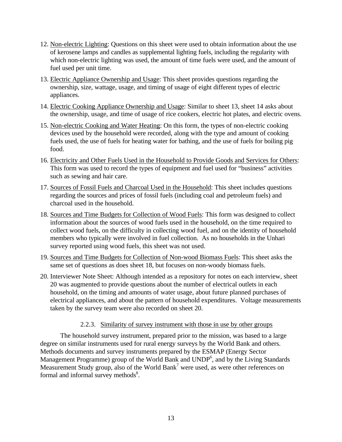- 12. Non-electric Lighting: Questions on this sheet were used to obtain information about the use of kerosene lamps and candles as supplemental lighting fuels, including the regularity with which non-electric lighting was used, the amount of time fuels were used, and the amount of fuel used per unit time.
- 13. Electric Appliance Ownership and Usage: This sheet provides questions regarding the ownership, size, wattage, usage, and timing of usage of eight different types of electric appliances.
- 14. Electric Cooking Appliance Ownership and Usage: Similar to sheet 13, sheet 14 asks about the ownership, usage, and time of usage of rice cookers, electric hot plates, and electric ovens.
- 15. Non-electric Cooking and Water Heating: On this form, the types of non-electric cooking devices used by the household were recorded, along with the type and amount of cooking fuels used, the use of fuels for heating water for bathing, and the use of fuels for boiling pig food.
- 16. Electricity and Other Fuels Used in the Household to Provide Goods and Services for Others: This form was used to record the types of equipment and fuel used for "business" activities such as sewing and hair care.
- 17. Sources of Fossil Fuels and Charcoal Used in the Household: This sheet includes questions regarding the sources and prices of fossil fuels (including coal and petroleum fuels) and charcoal used in the household.
- 18. Sources and Time Budgets for Collection of Wood Fuels: This form was designed to collect information about the sources of wood fuels used in the household, on the time required to collect wood fuels, on the difficulty in collecting wood fuel, and on the identity of household members who typically were involved in fuel collection. As no households in the Unhari survey reported using wood fuels, this sheet was not used.
- 19. Sources and Time Budgets for Collection of Non-wood Biomass Fuels: This sheet asks the same set of questions as does sheet 18, but focuses on non-woody biomass fuels.
- 20. Interviewer Note Sheet: Although intended as a repository for notes on each interview, sheet 20 was augmented to provide questions about the number of electrical outlets in each household, on the timing and amounts of water usage, about future planned purchases of electrical appliances, and about the pattern of household expenditures. Voltage measurements taken by the survey team were also recorded on sheet 20.

# 2.2.3. Similarity of survey instrument with those in use by other groups

The household survey instrument, prepared prior to the mission, was based to a large degree on similar instruments used for rural energy surveys by the World Bank and others. Methods documents and survey instruments prepared by the ESMAP (Energy Sector Management Programme) group of the World Bank and UNDP<sup>6</sup>, and by the Living Standards Measurement Study group, also of the World Bank<sup>7</sup> were used, as were other references on formal and informal survey methods<sup>8</sup>.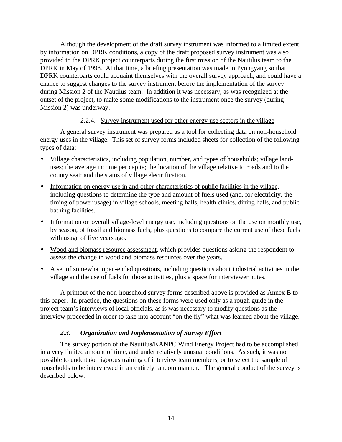Although the development of the draft survey instrument was informed to a limited extent by information on DPRK conditions, a copy of the draft proposed survey instrument was also provided to the DPRK project counterparts during the first mission of the Nautilus team to the DPRK in May of 1998. At that time, a briefing presentation was made in Pyongyang so that DPRK counterparts could acquaint themselves with the overall survey approach, and could have a chance to suggest changes to the survey instrument before the implementation of the survey during Mission 2 of the Nautilus team. In addition it was necessary, as was recognized at the outset of the project, to make some modifications to the instrument once the survey (during Mission 2) was underway.

#### 2.2.4. Survey instrument used for other energy use sectors in the village

A general survey instrument was prepared as a tool for collecting data on non-household energy uses in the village. This set of survey forms included sheets for collection of the following types of data:

- Village characteristics, including population, number, and types of households; village landuses; the average income per capita; the location of the village relative to roads and to the county seat; and the status of village electrification.
- Information on energy use in and other characteristics of public facilities in the village, including questions to determine the type and amount of fuels used (and, for electricity, the timing of power usage) in village schools, meeting halls, health clinics, dining halls, and public bathing facilities.
- Information on overall village-level energy use, including questions on the use on monthly use, by season, of fossil and biomass fuels, plus questions to compare the current use of these fuels with usage of five years ago.
- Wood and biomass resource assessment, which provides questions asking the respondent to assess the change in wood and biomass resources over the years.
- A set of somewhat open-ended questions, including questions about industrial activities in the village and the use of fuels for those activities, plus a space for interviewer notes.

A printout of the non-household survey forms described above is provided as Annex B to this paper. In practice, the questions on these forms were used only as a rough guide in the project team's interviews of local officials, as is was necessary to modify questions as the interview proceeded in order to take into account "on the fly" what was learned about the village.

# *2.3. Organization and Implementation of Survey Effort*

The survey portion of the Nautilus/KANPC Wind Energy Project had to be accomplished in a very limited amount of time, and under relatively unusual conditions. As such, it was not possible to undertake rigorous training of interview team members, or to select the sample of households to be interviewed in an entirely random manner. The general conduct of the survey is described below.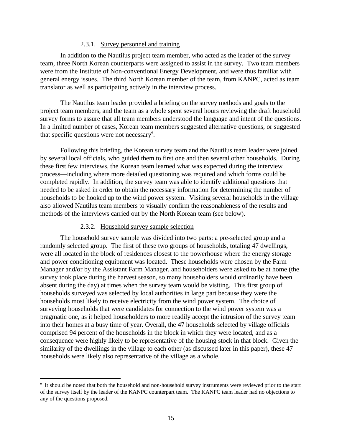#### 2.3.1. Survey personnel and training

In addition to the Nautilus project team member, who acted as the leader of the survey team, three North Korean counterparts were assigned to assist in the survey. Two team members were from the Institute of Non-conventional Energy Development, and were thus familiar with general energy issues. The third North Korean member of the team, from KANPC, acted as team translator as well as participating actively in the interview process.

The Nautilus team leader provided a briefing on the survey methods and goals to the project team members, and the team as a whole spent several hours reviewing the draft household survey forms to assure that all team members understood the language and intent of the questions. In a limited number of cases, Korean team members suggested alternative questions, or suggested that specific questions were not necessary<sup>e</sup>.

Following this briefing, the Korean survey team and the Nautilus team leader were joined by several local officials, who guided them to first one and then several other households. During these first few interviews, the Korean team learned what was expected during the interview process—including where more detailed questioning was required and which forms could be completed rapidly. In addition, the survey team was able to identify additional questions that needed to be asked in order to obtain the necessary information for determining the number of households to be hooked up to the wind power system. Visiting several households in the village also allowed Nautilus team members to visually confirm the reasonableness of the results and methods of the interviews carried out by the North Korean team (see below).

#### 2.3.2. Household survey sample selection

 $\overline{a}$ 

The household survey sample was divided into two parts: a pre-selected group and a randomly selected group. The first of these two groups of households, totaling 47 dwellings, were all located in the block of residences closest to the powerhouse where the energy storage and power conditioning equipment was located. These households were chosen by the Farm Manager and/or by the Assistant Farm Manager, and householders were asked to be at home (the survey took place during the harvest season, so many householders would ordinarily have been absent during the day) at times when the survey team would be visiting.This first group of households surveyed was selected by local authorities in large part because they were the households most likely to receive electricity from the wind power system. The choice of surveying households that were candidates for connection to the wind power system was a pragmatic one, as it helped householders to more readily accept the intrusion of the survey team into their homes at a busy time of year. Overall, the 47 households selected by village officials comprised 94 percent of the households in the block in which they were located, and as a consequence were highly likely to be representative of the housing stock in that block. Given the similarity of the dwellings in the village to each other (as discussed later in this paper), these 47 households were likely also representative of the village as a whole.

<sup>&</sup>lt;sup>e</sup> It should be noted that both the household and non-household survey instruments were reviewed prior to the start of the survey itself by the leader of the KANPC counterpart team. The KANPC team leader had no objections to any of the questions proposed.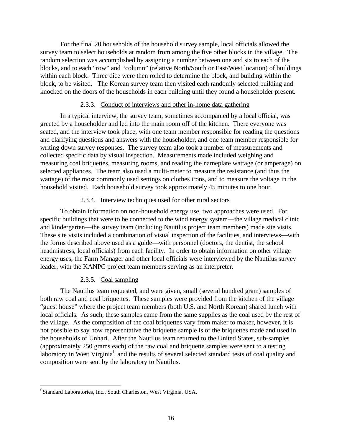For the final 20 households of the household survey sample, local officials allowed the survey team to select households at random from among the five other blocks in the village. The random selection was accomplished by assigning a number between one and six to each of the blocks, and to each "row" and "column" (relative North/South or East/West location) of buildings within each block. Three dice were then rolled to determine the block, and building within the block, to be visited. The Korean survey team then visited each randomly selected building and knocked on the doors of the households in each building until they found a householder present.

#### 2.3.3. Conduct of interviews and other in-home data gathering

In a typical interview, the survey team, sometimes accompanied by a local official, was greeted by a householder and led into the main room off of the kitchen. There everyone was seated, and the interview took place, with one team member responsible for reading the questions and clarifying questions and answers with the householder, and one team member responsible for writing down survey responses. The survey team also took a number of measurements and collected specific data by visual inspection. Measurements made included weighing and measuring coal briquettes, measuring rooms, and reading the nameplate wattage (or amperage) on selected appliances. The team also used a multi-meter to measure the resistance (and thus the wattage) of the most commonly used settings on clothes irons, and to measure the voltage in the household visited. Each household survey took approximately 45 minutes to one hour.

# 2.3.4. Interview techniques used for other rural sectors

To obtain information on non-household energy use, two approaches were used. For specific buildings that were to be connected to the wind energy system—the village medical clinic and kindergarten—the survey team (including Nautilus project team members) made site visits. These site visits included a combination of visual inspection of the facilities, and interviews—with the forms described above used as a guide—with personnel (doctors, the dentist, the school headmistress, local officials) from each facility. In order to obtain information on other village energy uses, the Farm Manager and other local officials were interviewed by the Nautilus survey leader, with the KANPC project team members serving as an interpreter.

# 2.3.5. Coal sampling

The Nautilus team requested, and were given, small (several hundred gram) samples of both raw coal and coal briquettes. These samples were provided from the kitchen of the village "guest house" where the project team members (both U.S. and North Korean) shared lunch with local officials. As such, these samples came from the same supplies as the coal used by the rest of the village. As the composition of the coal briquettes vary from maker to maker, however, it is not possible to say how representative the briquette sample is of the briquettes made and used in the households of Unhari. After the Nautilus team returned to the United States, sub-samples (approximately 250 grams each) of the raw coal and briquette samples were sent to a testing laboratory in West Virginia<sup>f</sup>, and the results of several selected standard tests of coal quality and composition were sent by the laboratory to Nautilus.

 f Standard Laboratories, Inc., South Charleston, West Virginia, USA.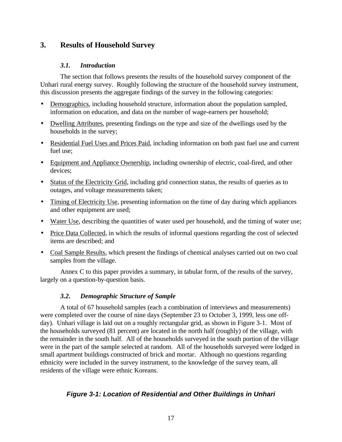# **3. Results of Household Survey**

#### *3.1. Introduction*

The section that follows presents the results of the household survey component of the Unhari rural energy survey. Roughly following the structure of the household survey instrument, this discussion presents the aggregate findings of the survey in the following categories:

- Demographics, including household structure, information about the population sampled, information on education, and data on the number of wage-earners per household;
- Dwelling Attributes, presenting findings on the type and size of the dwellings used by the households in the survey;
- Residential Fuel Uses and Prices Paid, including information on both past fuel use and current fuel use;
- Equipment and Appliance Ownership, including ownership of electric, coal-fired, and other devices;
- Status of the Electricity Grid, including grid connection status, the results of queries as to outages, and voltage measurements taken;
- Timing of Electricity Use, presenting information on the time of day during which appliances and other equipment are used;
- Water Use, describing the quantities of water used per household, and the timing of water use;
- Price Data Collected, in which the results of informal questions regarding the cost of selected items are described; and
- Coal Sample Results, which present the findings of chemical analyses carried out on two coal samples from the village.

Annex C to this paper provides a summary, in tabular form, of the results of the survey, largely on a question-by-question basis.

# *3.2. Demographic Structure of Sample*

A total of 67 household samples (each a combination of interviews and measurements) were completed over the course of nine days (September 23 to October 3, 1999, less one offday). Unhari village is laid out on a roughly rectangular grid, as shown in Figure 3-1. Most of the households surveyed (81 percent) are located in the north half (roughly) of the village, with the remainder in the south half. All of the households surveyed in the south portion of the village were in the part of the sample selected at random. All of the households surveyed were lodged in small apartment buildings constructed of brick and mortar. Although no questions regarding ethnicity were included in the survey instrument, to the knowledge of the survey team, all residents of the village were ethnic Koreans.

# *Figure 3-1: Location of Residential and Other Buildings in Unhari*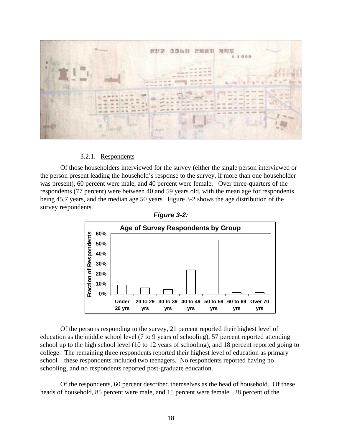

#### 3.2.1. Respondents

Of those householders interviewed for the survey (either the single person interviewed or the person present leading the household's response to the survey, if more than one householder was present), 60 percent were male, and 40 percent were female. Over three-quarters of the respondents (77 percent) were between 40 and 59 years old, with the mean age for respondents being 45.7 years, and the median age 50 years. Figure 3-2 shows the age distribution of the survey respondents.





Of the persons responding to the survey, 21 percent reported their highest level of education as the middle school level (7 to 9 years of schooling), 57 percent reported attending school up to the high school level (10 to 12 years of schooling), and 18 percent reported going to college. The remaining three respondents reported their highest level of education as primary school—these respondents included two teenagers. No respondents reported having no schooling, and no respondents reported post-graduate education.

Of the respondents, 60 percent described themselves as the head of household. Of these heads of household, 85 percent were male, and 15 percent were female. 28 percent of the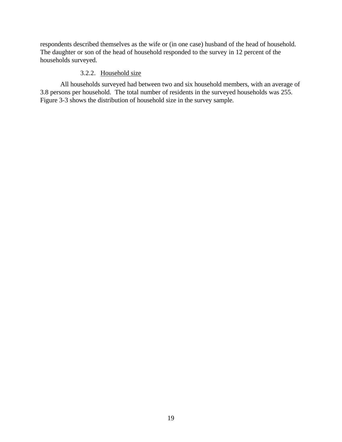respondents described themselves as the wife or (in one case) husband of the head of household. The daughter or son of the head of household responded to the survey in 12 percent of the households surveyed.

#### 3.2.2. Household size

All households surveyed had between two and six household members, with an average of 3.8 persons per household. The total number of residents in the surveyed households was 255. Figure 3-3 shows the distribution of household size in the survey sample.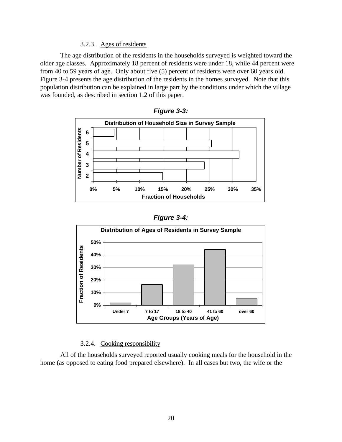#### 3.2.3. Ages of residents

The age distribution of the residents in the households surveyed is weighted toward the older age classes. Approximately 18 percent of residents were under 18, while 44 percent were from 40 to 59 years of age. Only about five (5) percent of residents were over 60 years old. Figure 3-4 presents the age distribution of the residents in the homes surveyed. Note that this population distribution can be explained in large part by the conditions under which the village was founded, as described in section 1.2 of this paper.



*Figure 3-3:*

|  | Figure 3-4: |  |
|--|-------------|--|
|--|-------------|--|



#### 3.2.4. Cooking responsibility

All of the households surveyed reported usually cooking meals for the household in the home (as opposed to eating food prepared elsewhere). In all cases but two, the wife or the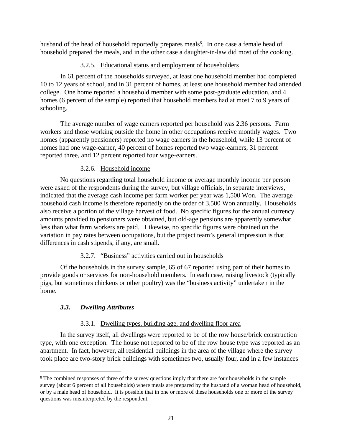husband of the head of household reportedly prepares meals<sup>g</sup>. In one case a female head of household prepared the meals, and in the other case a daughter-in-law did most of the cooking.

# 3.2.5. Educational status and employment of householders

In 61 percent of the households surveyed, at least one household member had completed 10 to 12 years of school, and in 31 percent of homes, at least one household member had attended college. One home reported a household member with some post-graduate education, and 4 homes (6 percent of the sample) reported that household members had at most 7 to 9 years of schooling.

The average number of wage earners reported per household was 2.36 persons. Farm workers and those working outside the home in other occupations receive monthly wages. Two homes (apparently pensioners) reported no wage earners in the household, while 13 percent of homes had one wage-earner, 40 percent of homes reported two wage-earners, 31 percent reported three, and 12 percent reported four wage-earners.

# 3.2.6. Household income

No questions regarding total household income or average monthly income per person were asked of the respondents during the survey, but village officials, in separate interviews, indicated that the average cash income per farm worker per year was 1,500 Won. The average household cash income is therefore reportedly on the order of 3,500 Won annually. Households also receive a portion of the village harvest of food. No specific figures for the annual currency amounts provided to pensioners were obtained, but old-age pensions are apparently somewhat less than what farm workers are paid. Likewise, no specific figures were obtained on the variation in pay rates between occupations, but the project team's general impression is that differences in cash stipends, if any, are small.

# 3.2.7. "Business" activities carried out in households

Of the households in the survey sample, 65 of 67 reported using part of their homes to provide goods or services for non-household members. In each case, raising livestock (typically pigs, but sometimes chickens or other poultry) was the "business activity" undertaken in the home.

# *3.3. Dwelling Attributes*

<u>.</u>

# 3.3.1. Dwelling types, building age, and dwelling floor area

In the survey itself, all dwellings were reported to be of the row house/brick construction type, with one exception. The house not reported to be of the row house type was reported as an apartment. In fact, however, all residential buildings in the area of the village where the survey took place are two-story brick buildings with sometimes two, usually four, and in a few instances

<sup>&</sup>lt;sup>g</sup> The combined responses of three of the survey questions imply that there are four households in the sample survey (about 6 percent of all households) where meals are prepared by the husband of a woman head of household, or by a male head of household. It is possible that in one or more of these households one or more of the survey questions was misinterpreted by the respondent.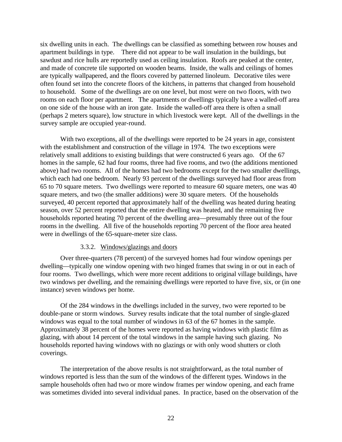six dwelling units in each. The dwellings can be classified as something between row houses and apartment buildings in type. There did not appear to be wall insulation in the buildings, but sawdust and rice hulls are reportedly used as ceiling insulation. Roofs are peaked at the center, and made of concrete tile supported on wooden beams. Inside, the walls and ceilings of homes are typically wallpapered, and the floors covered by patterned linoleum. Decorative tiles were often found set into the concrete floors of the kitchens, in patterns that changed from household to household. Some of the dwellings are on one level, but most were on two floors, with two rooms on each floor per apartment. The apartments or dwellings typically have a walled-off area on one side of the house with an iron gate. Inside the walled-off area there is often a small (perhaps 2 meters square), low structure in which livestock were kept. All of the dwellings in the survey sample are occupied year-round.

With two exceptions, all of the dwellings were reported to be 24 years in age, consistent with the establishment and construction of the village in 1974. The two exceptions were relatively small additions to existing buildings that were constructed 6 years ago. Of the 67 homes in the sample, 62 had four rooms, three had five rooms, and two (the additions mentioned above) had two rooms. All of the homes had two bedrooms except for the two smaller dwellings, which each had one bedroom. Nearly 93 percent of the dwellings surveyed had floor areas from 65 to 70 square meters. Two dwellings were reported to measure 60 square meters, one was 40 square meters, and two (the smaller additions) were 30 square meters. Of the households surveyed, 40 percent reported that approximately half of the dwelling was heated during heating season, over 52 percent reported that the entire dwelling was heated, and the remaining five households reported heating 70 percent of the dwelling area—presumably three out of the four rooms in the dwelling. All five of the households reporting 70 percent of the floor area heated were in dwellings of the 65-square-meter size class.

#### 3.3.2. Windows/glazings and doors

Over three-quarters (78 percent) of the surveyed homes had four window openings per dwelling—typically one window opening with two hinged frames that swing in or out in each of four rooms. Two dwellings, which were more recent additions to original village buildings, have two windows per dwelling, and the remaining dwellings were reported to have five, six, or (in one instance) seven windows per home.

Of the 284 windows in the dwellings included in the survey, two were reported to be double-pane or storm windows. Survey results indicate that the total number of single-glazed windows was equal to the total number of windows in 63 of the 67 homes in the sample. Approximately 38 percent of the homes were reported as having windows with plastic film as glazing, with about 14 percent of the total windows in the sample having such glazing. No households reported having windows with no glazings or with only wood shutters or cloth coverings.

The interpretation of the above results is not straightforward, as the total number of windows reported is less than the sum of the windows of the different types. Windows in the sample households often had two or more window frames per window opening, and each frame was sometimes divided into several individual panes. In practice, based on the observation of the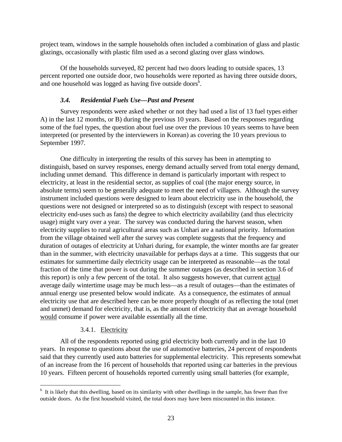project team, windows in the sample households often included a combination of glass and plastic glazings, occasionally with plastic film used as a second glazing over glass windows.

Of the households surveyed, 82 percent had two doors leading to outside spaces, 13 percent reported one outside door, two households were reported as having three outside doors, and one household was logged as having five outside doors<sup>h</sup>.

#### *3.4. Residential Fuels Use—Past and Present*

Survey respondents were asked whether or not they had used a list of 13 fuel types either A) in the last 12 months, or B) during the previous 10 years. Based on the responses regarding some of the fuel types, the question about fuel use over the previous 10 years seems to have been interpreted (or presented by the interviewers in Korean) as covering the 10 years previous to September 1997.

One difficulty in interpreting the results of this survey has been in attempting to distinguish, based on survey responses, energy demand actually served from total energy demand, including unmet demand. This difference in demand is particularly important with respect to electricity, at least in the residential sector, as supplies of coal (the major energy source, in absolute terms) seem to be generally adequate to meet the need of villagers. Although the survey instrument included questions were designed to learn about electricity use in the household, the questions were not designed or interpreted so as to distinguish (except with respect to seasonal electricity end-uses such as fans) the degree to which electricity availability (and thus electricity usage) might vary over a year. The survey was conducted during the harvest season, when electricity supplies to rural agricultural areas such as Unhari are a national priority. Information from the village obtained well after the survey was complete suggests that the frequency and duration of outages of electricity at Unhari during, for example, the winter months are far greater than in the summer, with electricity unavailable for perhaps days at a time. This suggests that our estimates for summertime daily electricity usage can be interpreted as reasonable—as the total fraction of the time that power is out during the summer outages (as described in section 3.6 of this report) is only a few percent of the total. It also suggests however, that current actual average daily wintertime usage may be much less—as a result of outages—than the estimates of annual energy use presented below would indicate. As a consequence, the estimates of annual electricity use that are described here can be more properly thought of as reflecting the total (met and unmet) demand for electricity, that is, as the amount of electricity that an average household would consume if power were available essentially all the time.

#### 3.4.1. Electricity

 $\overline{a}$ 

All of the respondents reported using grid electricity both currently and in the last 10 years. In response to questions about the use of automotive batteries, 24 percent of respondents said that they currently used auto batteries for supplemental electricity. This represents somewhat of an increase from the 16 percent of households that reported using car batteries in the previous 10 years. Fifteen percent of households reported currently using small batteries (for example,

<sup>&</sup>lt;sup>h</sup> It is likely that this dwelling, based on its similarity with other dwellings in the sample, has fewer than five outside doors. As the first household visited, the total doors may have been miscounted in this instance.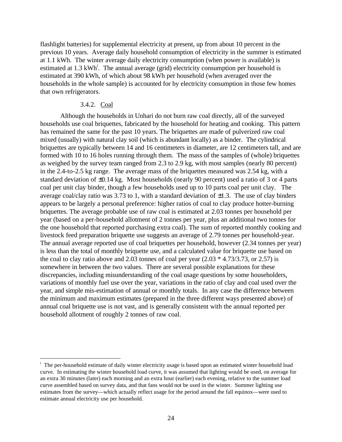flashlight batteries) for supplemental electricity at present, up from about 10 percent in the previous 10 years. Average daily household consumption of electricity in the summer is estimated at 1.1 kWh. The winter average daily electricity consumption (when power is available) is estimated at 1.3 kWh<sup>i</sup>. The annual average (grid) electricity consumption per household is estimated at 390 kWh, of which about 98 kWh per household (when averaged over the households in the whole sample) is accounted for by electricity consumption in those few homes that own refrigerators.

#### 3.4.2. Coal

 $\overline{a}$ 

Although the households in Unhari do not burn raw coal directly, all of the surveyed households use coal briquettes, fabricated by the household for heating and cooking. This pattern has remained the same for the past 10 years. The briquettes are made of pulverized raw coal mixed (usually) with natural clay soil (which is abundant locally) as a binder. The cylindrical briquettes are typically between 14 and 16 centimeters in diameter, are 12 centimeters tall, and are formed with 10 to 16 holes running through them. The mass of the samples of (whole) briquettes as weighed by the survey team ranged from 2.3 to 2.9 kg, with most samples (nearly 80 percent) in the 2.4-to-2.5 kg range. The average mass of the briquettes measured was 2.54 kg, with a standard deviation of ±0.14 kg. Most households (nearly 90 percent) used a ratio of 3 or 4 parts coal per unit clay binder, though a few households used up to 10 parts coal per unit clay. The average coal/clay ratio was 3.73 to 1, with a standard deviation of  $\pm 1.3$ . The use of clay binders appears to be largely a personal preference: higher ratios of coal to clay produce hotter-burning briquettes. The average probable use of raw coal is estimated at 2.03 tonnes per household per year (based on a per-household allotment of 2 tonnes per year, plus an additional two tonnes for the one household that reported purchasing extra coal). The sum of reported monthly cooking and livestock feed preparation briquette use suggests an average of 2.79 tonnes per household-year. The annual average reported use of coal briquettes per household, however (2.34 tonnes per year) is less than the total of monthly briquette use, and a calculated value for briquette use based on the coal to clay ratio above and 2.03 tonnes of coal per year  $(2.03 * 4.73/3.73, \text{ or } 2.57)$  is somewhere in between the two values. There are several possible explanations for these discrepancies, including misunderstanding of the coal usage questions by some householders, variations of monthly fuel use over the year, variations in the ratio of clay and coal used over the year, and simple mis-estimation of annual or monthly totals. In any case the difference between the minimum and maximum estimates (prepared in the three different ways presented above) of annual coal briquette use is not vast, and is generally consistent with the annual reported per household allotment of roughly 2 tonnes of raw coal.

<sup>&</sup>lt;sup>i</sup> The per-household estimate of daily winter electricity usage is based upon an estimated winter household load curve. In estimating the winter household load curve, it was assumed that lighting would be used, on average for an extra 30 minutes (later) each morning and an extra hour (earlier) each evening, relative to the summer load curve assembled based on survey data, and that fans would not be used in the winter. Summer lighting use estimates from the survey—which actually reflect usage for the period around the fall equinox—were used to estimate annual electricity use per household.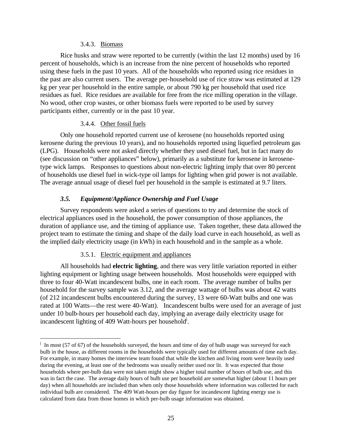#### 3.4.3. Biomass

Rice husks and straw were reported to be currently (within the last 12 months) used by 16 percent of households, which is an increase from the nine percent of households who reported using these fuels in the past 10 years. All of the households who reported using rice residues in the past are also current users. The average per-household use of rice straw was estimated at 129 kg per year per household in the entire sample, or about 790 kg per household that used rice residues as fuel. Rice residues are available for free from the rice milling operation in the village. No wood, other crop wastes, or other biomass fuels were reported to be used by survey participants either, currently or in the past 10 year.

#### 3.4.4. Other fossil fuels

Only one household reported current use of kerosene (no households reported using kerosene during the previous 10 years), and no households reported using liquefied petroleum gas (LPG). Households were not asked directly whether they used diesel fuel, but in fact many do (see discussion on "other appliances" below), primarily as a substitute for kerosene in kerosenetype wick lamps. Responses to questions about non-electric lighting imply that over 80 percent of households use diesel fuel in wick-type oil lamps for lighting when grid power is not available. The average annual usage of diesel fuel per household in the sample is estimated at 9.7 liters.

# *3.5. Equipment/Appliance Ownership and Fuel Usage*

Survey respondents were asked a series of questions to try and determine the stock of electrical appliances used in the household, the power consumption of those appliances, the duration of appliance use, and the timing of appliance use. Taken together, these data allowed the project team to estimate the timing and shape of the daily load curve in each household, as well as the implied daily electricity usage (in kWh) in each household and in the sample as a whole.

# 3.5.1. Electric equipment and appliances

<u>.</u>

All households had **electric lighting**, and there was very little variation reported in either lighting equipment or lighting usage between households. Most households were equipped with three to four 40-Watt incandescent bulbs, one in each room. The average number of bulbs per household for the survey sample was 3.12, and the average wattage of bulbs was about 42 watts (of 212 incandescent bulbs encountered during the survey, 13 were 60-Watt bulbs and one was rated at 100 Watts—the rest were 40-Watt). Incandescent bulbs were used for an average of just under 10 bulb-hours per household each day, implying an average daily electricity usage for incandescent lighting of 409 Watt-hours per household<sup>j</sup>.

<sup>&</sup>lt;sup>j</sup> In most (57 of 67) of the households surveyed, the hours and time of day of bulb usage was surveyed for each bulb in the house, as different rooms in the households were typically used for different amounts of time each day. For example, in many homes the interview team found that while the kitchen and living room were heavily used during the evening, at least one of the bedrooms was usually neither used nor lit. It was expected that those households where per-bulb data were not taken might show a higher total number of hours of bulb use, and this was in fact the case. The average daily hours of bulb use per household are somewhat higher (about 11 hours per day) when all households are included than when only those households where information was collected for each individual bulb are considered. The 409 Watt-hours per day figure for incandescent lighting energy use is calculated from data from those homes in which per-bulb usage information was obtained.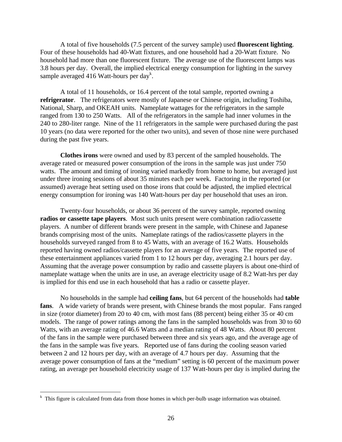A total of five households (7.5 percent of the survey sample) used **fluorescent lighting**. Four of these households had 40-Watt fixtures, and one household had a 20-Watt fixture. No household had more than one fluorescent fixture. The average use of the fluorescent lamps was 3.8 hours per day. Overall, the implied electrical energy consumption for lighting in the survey sample averaged 416 Watt-hours per day<sup>k</sup>.

A total of 11 households, or 16.4 percent of the total sample, reported owning a **refrigerator**. The refrigerators were mostly of Japanese or Chinese origin, including Toshiba, National, Sharp, and OKEAH units. Nameplate wattages for the refrigerators in the sample ranged from 130 to 250 Watts. All of the refrigerators in the sample had inner volumes in the 240 to 280-liter range. Nine of the 11 refrigerators in the sample were purchased during the past 10 years (no data were reported for the other two units), and seven of those nine were purchased during the past five years.

**Clothes irons** were owned and used by 83 percent of the sampled households. The average rated or measured power consumption of the irons in the sample was just under 750 watts. The amount and timing of ironing varied markedly from home to home, but averaged just under three ironing sessions of about 35 minutes each per week. Factoring in the reported (or assumed) average heat setting used on those irons that could be adjusted, the implied electrical energy consumption for ironing was 140 Watt-hours per day per household that uses an iron.

Twenty-four households, or about 36 percent of the survey sample, reported owning **radios or cassette tape players**. Most such units present were combination radio/cassette players. A number of different brands were present in the sample, with Chinese and Japanese brands comprising most of the units. Nameplate ratings of the radios/cassette players in the households surveyed ranged from 8 to 45 Watts, with an average of 16.2 Watts. Households reported having owned radios/cassette players for an average of five years. The reported use of these entertainment appliances varied from 1 to 12 hours per day, averaging 2.1 hours per day. Assuming that the average power consumption by radio and cassette players is about one-third of nameplate wattage when the units are in use, an average electricity usage of 8.2 Watt-hrs per day is implied for this end use in each household that has a radio or cassette player.

No households in the sample had **ceiling fans**, but 64 percent of the households had **table fans**. A wide variety of brands were present, with Chinese brands the most popular. Fans ranged in size (rotor diameter) from 20 to 40 cm, with most fans (88 percent) being either 35 or 40 cm models. The range of power ratings among the fans in the sampled households was from 30 to 60 Watts, with an average rating of 46.6 Watts and a median rating of 48 Watts. About 80 percent of the fans in the sample were purchased between three and six years ago, and the average age of the fans in the sample was five years. Reported use of fans during the cooling season varied between 2 and 12 hours per day, with an average of 4.7 hours per day. Assuming that the average power consumption of fans at the "medium" setting is 60 percent of the maximum power rating, an average per household electricity usage of 137 Watt-hours per day is implied during the

<u>.</u>

 $k$  This figure is calculated from data from those homes in which per-bulb usage information was obtained.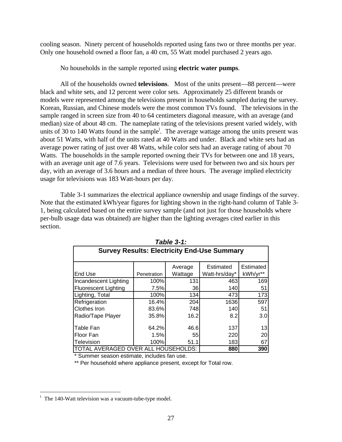cooling season. Ninety percent of households reported using fans two or three months per year. Only one household owned a floor fan, a 40 cm, 55 Watt model purchased 2 years ago.

No households in the sample reported using **electric water pumps**.

All of the households owned **televisions**. Most of the units present—88 percent—were black and white sets, and 12 percent were color sets. Approximately 25 different brands or models were represented among the televisions present in households sampled during the survey. Korean, Russian, and Chinese models were the most common TVs found. The televisions in the sample ranged in screen size from 40 to 64 centimeters diagonal measure, with an average (and median) size of about 48 cm. The nameplate rating of the televisions present varied widely, with units of 30 to 140 Watts found in the sample<sup>1</sup>. The average wattage among the units present was about 51 Watts, with half of the units rated at 40 Watts and under. Black and white sets had an average power rating of just over 48 Watts, while color sets had an average rating of about 70 Watts. The households in the sample reported owning their TVs for between one and 18 years, with an average unit age of 7.6 years. Televisions were used for between two and six hours per day, with an average of 3.6 hours and a median of three hours. The average implied electricity usage for televisions was 183 Watt-hours per day.

Table 3-1 summarizes the electrical appliance ownership and usage findings of the survey. Note that the estimated kWh/year figures for lighting shown in the right-hand column of Table 3- 1, being calculated based on the entire survey sample (and not just for those households where per-bulb usage data was obtained) are higher than the lighting averages cited earlier in this section.

|                                                    |             | I UNIV V           |                            |                       |
|----------------------------------------------------|-------------|--------------------|----------------------------|-----------------------|
| <b>Survey Results: Electricity End-Use Summary</b> |             |                    |                            |                       |
| End Use                                            | Penetration | Average<br>Wattage | Estimated<br>Watt-hrs/day* | Estimated<br>kWh/yr** |
| Incandescent Lighting                              | 100%        | 131                | 463                        | 169                   |
| <b>Fluorescent Lighting</b>                        | 7.5%        | 36                 | 140                        | 51                    |
| Lighting, Total                                    | 100%        | 134                | 473                        | 173                   |
| Refrigeration                                      | 16.4%       | 204                | 1636                       | 597                   |
| <b>Clothes Iron</b>                                | 83.6%       | 748                | 140                        | 51                    |
| Radio/Tape Player                                  | 35.8%       | 16.2               | 8.2                        | 3.0                   |
| Table Fan                                          | 64.2%       | 46.6               | 137                        | 13                    |
| Floor Fan                                          | 1.5%        | 55                 | 220                        | 20                    |
| Television                                         | 100%        | 51.1               | 183                        | 67                    |
| TOTAL AVERAGED OVER ALL                            |             | HOUSEHOLDS:        | 880                        | 390                   |

| Table 3-1: |  |  |
|------------|--|--|
|------------|--|--|

\* Summer season estimate, includes fan use.

\*\* Per household where appliance present, except for Total row.

 $\overline{a}$ 

<sup>&</sup>lt;sup>1</sup> The 140-Watt television was a vacuum-tube-type model.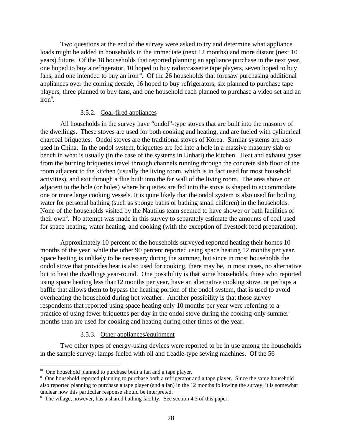Two questions at the end of the survey were asked to try and determine what appliance loads might be added in households in the immediate (next 12 months) and more distant (next 10 years) future. Of the 18 households that reported planning an appliance purchase in the next year, one hoped to buy a refrigerator, 10 hoped to buy radio/cassette tape players, seven hoped to buy fans, and one intended to buy an iron<sup>m</sup>. Of the 26 households that foresaw purchasing additional appliances over the coming decade, 16 hoped to buy refrigerators, six planned to purchase tape players, three planned to buy fans, and one household each planned to purchase a video set and an  $iron<sup>n</sup>$ .

#### 3.5.2. Coal-fired appliances

All households in the survey have "ondol"-type stoves that are built into the masonry of the dwellings. These stoves are used for both cooking and heating, and are fueled with cylindrical charcoal briquettes. Ondol stoves are the traditional stoves of Korea. Similar systems are also used in China. In the ondol system, briquettes are fed into a hole in a massive masonry slab or bench in what is usually (in the case of the systems in Unhari) the kitchen. Heat and exhaust gases from the burning briquettes travel through channels running through the concrete slab floor of the room adjacent to the kitchen (usually the living room, which is in fact used for most household activities), and exit through a flue built into the far wall of the living room. The area above or adjacent to the hole (or holes) where briquettes are fed into the stove is shaped to accommodate one or more large cooking vessels. It is quite likely that the ondol system is also used for boiling water for personal bathing (such as sponge baths or bathing small children) in the households. None of the households visited by the Nautilus team seemed to have shower or bath facilities of their own<sup>o</sup>. No attempt was made in this survey to separately estimate the amounts of coal used for space heating, water heating, and cooking (with the exception of livestock food preparation).

Approximately 10 percent of the households surveyed reported heating their homes 10 months of the year, while the other 90 percent reported using space heating 12 months per year. Space heating is unlikely to be necessary during the summer, but since in most households the ondol stove that provides heat is also used for cooking, there may be, in most cases, no alternative but to heat the dwellings year-round. One possibility is that some households, those who reported using space heating less than12 months per year, have an alternative cooking stove, or perhaps a baffle that allows them to bypass the heating portion of the ondol system, that is used to avoid overheating the household during hot weather. Another possibility is that those survey respondents that reported using space heating only 10 months per year were referring to a practice of using fewer briquettes per day in the ondol stove during the cooking-only summer months than are used for cooking and heating during other times of the year.

#### 3.5.3. Other appliances/equipment

Two other types of energy-using devices were reported to be in use among the households in the sample survey: lamps fueled with oil and treadle-type sewing machines. Of the 56

 $\overline{a}$ 

<sup>&</sup>lt;sup>m</sup> One household planned to purchase both a fan and a tape player.

<sup>&</sup>lt;sup>n</sup> One household reported planning to purchase both a refrigerator and a tape player. Since the same household also reported planning to purchase a tape player (and a fan) in the 12 months following the survey, it is somewhat unclear how this particular response should be interpreted.

<sup>&</sup>lt;sup>o</sup> The village, however, has a shared bathing facility. See section 4.3 of this paper.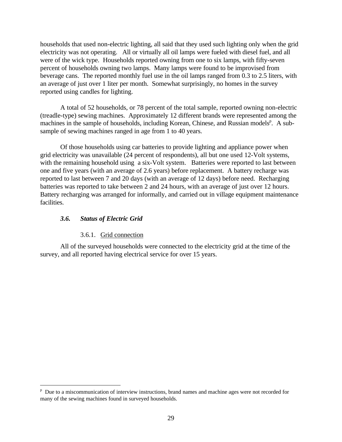households that used non-electric lighting, all said that they used such lighting only when the grid electricity was not operating. All or virtually all oil lamps were fueled with diesel fuel, and all were of the wick type. Households reported owning from one to six lamps, with fifty-seven percent of households owning two lamps. Many lamps were found to be improvised from beverage cans. The reported monthly fuel use in the oil lamps ranged from 0.3 to 2.5 liters, with an average of just over 1 liter per month. Somewhat surprisingly, no homes in the survey reported using candles for lighting.

A total of 52 households, or 78 percent of the total sample, reported owning non-electric (treadle-type) sewing machines. Approximately 12 different brands were represented among the machines in the sample of households, including Korean, Chinese, and Russian models<sup>p</sup>. A subsample of sewing machines ranged in age from 1 to 40 years.

Of those households using car batteries to provide lighting and appliance power when grid electricity was unavailable (24 percent of respondents), all but one used 12-Volt systems, with the remaining household using a six-Volt system. Batteries were reported to last between one and five years (with an average of 2.6 years) before replacement. A battery recharge was reported to last between 7 and 20 days (with an average of 12 days) before need. Recharging batteries was reported to take between 2 and 24 hours, with an average of just over 12 hours. Battery recharging was arranged for informally, and carried out in village equipment maintenance facilities.

#### *3.6. Status of Electric Grid*

 $\overline{a}$ 

#### 3.6.1. Grid connection

All of the surveyed households were connected to the electricity grid at the time of the survey, and all reported having electrical service for over 15 years.

<sup>&</sup>lt;sup>p</sup> Due to a miscommunication of interview instructions, brand names and machine ages were not recorded for many of the sewing machines found in surveyed households.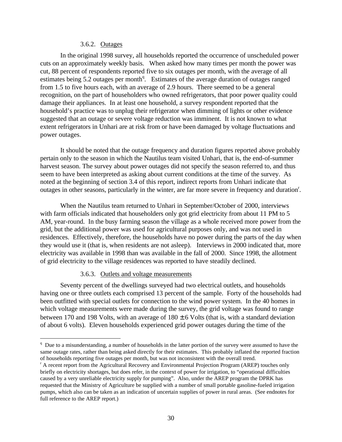#### 3.6.2. Outages

In the original 1998 survey, all households reported the occurrence of unscheduled power cuts on an approximately weekly basis. When asked how many times per month the power was cut, 88 percent of respondents reported five to six outages per month, with the average of all estimates being 5.2 outages per month<sup>q</sup>. Estimates of the average duration of outages ranged from 1.5 to five hours each, with an average of 2.9 hours. There seemed to be a general recognition, on the part of householders who owned refrigerators, that poor power quality could damage their appliances. In at least one household, a survey respondent reported that the household's practice was to unplug their refrigerator when dimming of lights or other evidence suggested that an outage or severe voltage reduction was imminent. It is not known to what extent refrigerators in Unhari are at risk from or have been damaged by voltage fluctuations and power outages.

It should be noted that the outage frequency and duration figures reported above probably pertain only to the season in which the Nautilus team visited Unhari, that is, the end-of-summer harvest season. The survey about power outages did not specify the season referred to, and thus seem to have been interpreted as asking about current conditions at the time of the survey. As noted at the beginning of section 3.4 of this report, indirect reports from Unhari indicate that outages in other seasons, particularly in the winter, are far more severe in frequency and duration<sup>r</sup>.

When the Nautilus team returned to Unhari in September/October of 2000, interviews with farm officials indicated that householders only got grid electricity from about 11 PM to 5 AM, year-round. In the busy farming season the village as a whole received more power from the grid, but the additional power was used for agricultural purposes only, and was not used in residences. Effectively, therefore, the households have no power during the parts of the day when they would use it (that is, when residents are not asleep). Interviews in 2000 indicated that, more electricity was available in 1998 than was available in the fall of 2000. Since 1998, the allotment of grid electricity to the village residences was reported to have steadily declined.

#### 3.6.3. Outlets and voltage measurements

 $\overline{a}$ 

Seventy percent of the dwellings surveyed had two electrical outlets, and households having one or three outlets each comprised 13 percent of the sample. Forty of the households had been outfitted with special outlets for connection to the wind power system. In the 40 homes in which voltage measurements were made during the survey, the grid voltage was found to range between 170 and 198 Volts, with an average of  $180 \pm 6$  Volts (that is, with a standard deviation of about 6 volts). Eleven households experienced grid power outages during the time of the

<sup>&</sup>lt;sup>q</sup> Due to a misunderstanding, a number of households in the latter portion of the survey were assumed to have the same outage rates, rather than being asked directly for their estimates. This probably inflated the reported fraction of households reporting five outages per month, but was not inconsistent with the overall trend.

<sup>&</sup>lt;sup>r</sup> A recent report from the Agricultural Recovery and Environmental Projection Program (AREP) touches only briefly on electricity shortages, but does refer, in the context of power for irrigation, to "operational difficulties caused by a very unreliable electricity supply for pumping". Also, under the AREP program the DPRK has requested that the Ministry of Agriculture be supplied with a number of small portable gasoline-fueled irrigation pumps, which also can be taken as an indication of uncertain supplies of power in rural areas. (See endnotes for full reference to the AREP report.)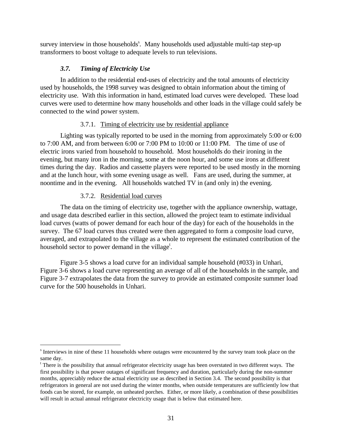survey interview in those households<sup>s</sup>. Many households used adjustable multi-tap step-up transformers to boost voltage to adequate levels to run televisions.

## *3.7. Timing of Electricity Use*

In addition to the residential end-uses of electricity and the total amounts of electricity used by households, the 1998 survey was designed to obtain information about the timing of electricity use. With this information in hand, estimated load curves were developed. These load curves were used to determine how many households and other loads in the village could safely be connected to the wind power system.

## 3.7.1. Timing of electricity use by residential appliance

Lighting was typically reported to be used in the morning from approximately 5:00 or 6:00 to 7:00 AM, and from between 6:00 or 7:00 PM to 10:00 or 11:00 PM. The time of use of electric irons varied from household to household. Most households do their ironing in the evening, but many iron in the morning, some at the noon hour, and some use irons at different times during the day. Radios and cassette players were reported to be used mostly in the morning and at the lunch hour, with some evening usage as well. Fans are used, during the summer, at noontime and in the evening. All households watched TV in (and only in) the evening.

## 3.7.2. Residential load curves

 $\overline{a}$ 

The data on the timing of electricity use, together with the appliance ownership, wattage, and usage data described earlier in this section, allowed the project team to estimate individual load curves (watts of power demand for each hour of the day) for each of the households in the survey. The 67 load curves thus created were then aggregated to form a composite load curve, averaged, and extrapolated to the village as a whole to represent the estimated contribution of the household sector to power demand in the village<sup>t</sup>.

Figure 3-5 shows a load curve for an individual sample household (#033) in Unhari, Figure 3-6 shows a load curve representing an average of all of the households in the sample, and Figure 3-7 extrapolates the data from the survey to provide an estimated composite summer load curve for the 500 households in Unhari.

<sup>&</sup>lt;sup>s</sup> Interviews in nine of these 11 households where outages were encountered by the survey team took place on the same day.

<sup>&</sup>lt;sup>t</sup> There is the possibility that annual refrigerator electricity usage has been overstated in two different ways. The first possibility is that power outages of significant frequency and duration, particularly during the non-summer months, appreciably reduce the actual electricity use as described in Section 3.4. The second possibility is that refrigerators in general are not used during the winter months, when outside temperatures are sufficiently low that foods can be stored, for example, on unheated porches. Either, or more likely, a combination of these possibilities will result in actual annual refrigerator electricity usage that is below that estimated here.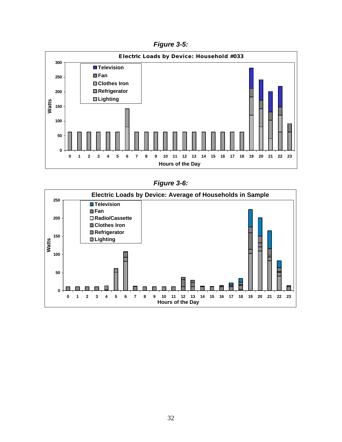*Figure 3-5:*



*Figure 3-6:*

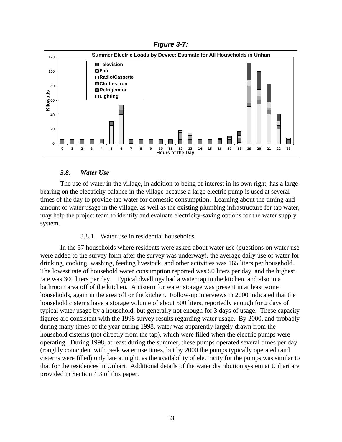*Figure 3-7:*



## *3.8. Water Use*

The use of water in the village, in addition to being of interest in its own right, has a large bearing on the electricity balance in the village because a large electric pump is used at several times of the day to provide tap water for domestic consumption. Learning about the timing and amount of water usage in the village, as well as the existing plumbing infrastructure for tap water, may help the project team to identify and evaluate electricity-saving options for the water supply system.

## 3.8.1. Water use in residential households

In the 57 households where residents were asked about water use (questions on water use were added to the survey form after the survey was underway), the average daily use of water for drinking, cooking, washing, feeding livestock, and other activities was 165 liters per household. The lowest rate of household water consumption reported was 50 liters per day, and the highest rate was 300 liters per day. Typical dwellings had a water tap in the kitchen, and also in a bathroom area off of the kitchen. A cistern for water storage was present in at least some households, again in the area off or the kitchen. Follow-up interviews in 2000 indicated that the household cisterns have a storage volume of about 500 liters, reportedly enough for 2 days of typical water usage by a household, but generally not enough for 3 days of usage. These capacity figures are consistent with the 1998 survey results regarding water usage. By 2000, and probably during many times of the year during 1998, water was apparently largely drawn from the household cisterns (not directly from the tap), which were filled when the electric pumps were operating. During 1998, at least during the summer, these pumps operated several times per day (roughly coincident with peak water use times, but by 2000 the pumps typically operated (and cisterns were filled) only late at night, as the availability of electricity for the pumps was similar to that for the residences in Unhari. Additional details of the water distribution system at Unhari are provided in Section 4.3 of this paper.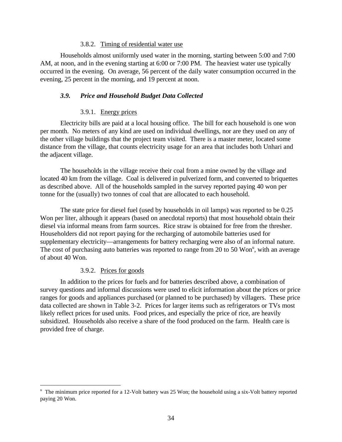#### 3.8.2. Timing of residential water use

Households almost uniformly used water in the morning, starting between 5:00 and 7:00 AM, at noon, and in the evening starting at 6:00 or 7:00 PM. The heaviest water use typically occurred in the evening. On average, 56 percent of the daily water consumption occurred in the evening, 25 percent in the morning, and 19 percent at noon.

## *3.9. Price and Household Budget Data Collected*

## 3.9.1. Energy prices

Electricity bills are paid at a local housing office. The bill for each household is one won per month. No meters of any kind are used on individual dwellings, nor are they used on any of the other village buildings that the project team visited. There is a master meter, located some distance from the village, that counts electricity usage for an area that includes both Unhari and the adjacent village.

The households in the village receive their coal from a mine owned by the village and located 40 km from the village. Coal is delivered in pulverized form, and converted to briquettes as described above. All of the households sampled in the survey reported paying 40 won per tonne for the (usually) two tonnes of coal that are allocated to each household.

The state price for diesel fuel (used by households in oil lamps) was reported to be 0.25 Won per liter, although it appears (based on anecdotal reports) that most household obtain their diesel via informal means from farm sources. Rice straw is obtained for free from the thresher. Householders did not report paying for the recharging of automobile batteries used for supplementary electricity—arrangements for battery recharging were also of an informal nature. The cost of purchasing auto batteries was reported to range from 20 to 50 Won<sup>u</sup>, with an average of about 40 Won.

## 3.9.2. Prices for goods

 $\overline{a}$ 

In addition to the prices for fuels and for batteries described above, a combination of survey questions and informal discussions were used to elicit information about the prices or price ranges for goods and appliances purchased (or planned to be purchased) by villagers. These price data collected are shown in Table 3-2. Prices for larger items such as refrigerators or TVs most likely reflect prices for used units. Food prices, and especially the price of rice, are heavily subsidized. Households also receive a share of the food produced on the farm. Health care is provided free of charge.

<sup>&</sup>lt;sup>u</sup> The minimum price reported for a 12-Volt battery was 25 Won; the household using a six-Volt battery reported paying 20 Won.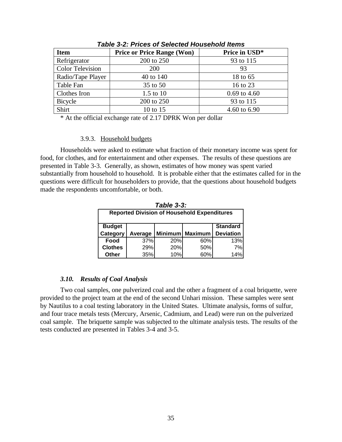| <b>Item</b>             | <b>Price or Price Range (Won)</b> | Price in USD*  |
|-------------------------|-----------------------------------|----------------|
| Refrigerator            | 200 to 250                        | 93 to 115      |
| <b>Color Television</b> | <b>200</b>                        | 93             |
| Radio/Tape Player       | 40 to 140                         | 18 to 65       |
| Table Fan               | 35 to 50                          | 16 to 23       |
| Clothes Iron            | $1.5$ to $10$                     | $0.69$ to 4.60 |
| Bicycle                 | 200 to 250                        | 93 to 115      |
| Shirt                   | 10 to 15                          | 4.60 to 6.90   |

*Table 3-2: Prices of Selected Household Items*

\* At the official exchange rate of 2.17 DPRK Won per dollar

#### 3.9.3. Household budgets

Households were asked to estimate what fraction of their monetary income was spent for food, for clothes, and for entertainment and other expenses. The results of these questions are presented in Table 3-3. Generally, as shown, estimates of how money was spent varied substantially from household to household. It is probable either that the estimates called for in the questions were difficult for householders to provide, that the questions about household budgets made the respondents uncomfortable, or both.

|                                                    |         |     | Table 3-3:        |                  |  |
|----------------------------------------------------|---------|-----|-------------------|------------------|--|
| <b>Reported Division of Household Expenditures</b> |         |     |                   |                  |  |
|                                                    |         |     |                   |                  |  |
| <b>Budget</b>                                      |         |     |                   | <b>Standard</b>  |  |
|                                                    |         |     |                   |                  |  |
| Category                                           | Average |     | Minimum   Maximum | <b>Deviation</b> |  |
| Food                                               | 37%     | 20% | 60%               | 13%              |  |
| <b>Clothes</b>                                     | 29%     | 20% | 50%               | 7%               |  |

## *3.10. Results of Coal Analysis*

Two coal samples, one pulverized coal and the other a fragment of a coal briquette, were provided to the project team at the end of the second Unhari mission. These samples were sent by Nautilus to a coal testing laboratory in the United States. Ultimate analysis, forms of sulfur, and four trace metals tests (Mercury, Arsenic, Cadmium, and Lead) were run on the pulverized coal sample. The briquette sample was subjected to the ultimate analysis tests. The results of the tests conducted are presented in Tables 3-4 and 3-5.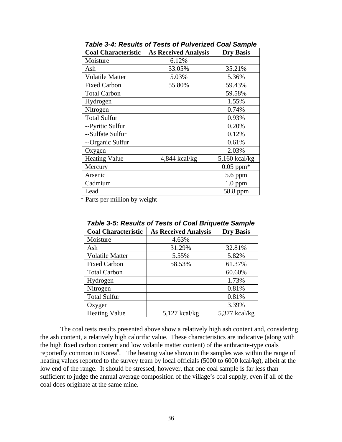| <b>Coal Characteristic</b> | <b>As Received Analysis</b> | <b>Dry Basis</b> |
|----------------------------|-----------------------------|------------------|
| Moisture                   | 6.12%                       |                  |
| Ash                        | 33.05%                      | 35.21%           |
| <b>Volatile Matter</b>     | 5.03%                       | 5.36%            |
| <b>Fixed Carbon</b>        | 55.80%                      | 59.43%           |
| <b>Total Carbon</b>        |                             | 59.58%           |
| Hydrogen                   |                             | 1.55%            |
| Nitrogen                   |                             | 0.74%            |
| <b>Total Sulfur</b>        |                             | 0.93%            |
| --Pyritic Sulfur           |                             | 0.20%            |
| --Sulfate Sulfur           |                             | 0.12%            |
| --Organic Sulfur           |                             | 0.61%            |
| Oxygen                     |                             | 2.03%            |
| <b>Heating Value</b>       | 4,844 kcal/kg               | $5,160$ kcal/kg  |
| Mercury                    |                             | $0.05$ ppm $*$   |
| Arsenic                    |                             | $5.6$ ppm        |
| Cadmium                    |                             | $1.0$ ppm        |
| Lead                       |                             | 58.8 ppm         |

*Table 3-4: Results of Tests of Pulverized Coal Sample*

\* Parts per million by weight

| <b>Coal Characteristic</b> | <b>As Received Analysis</b> | <b>Dry Basis</b> |
|----------------------------|-----------------------------|------------------|
| Moisture                   | 4.63%                       |                  |
| Ash                        | 31.29%                      | 32.81%           |
| <b>Volatile Matter</b>     | 5.55%                       | 5.82%            |
| <b>Fixed Carbon</b>        | 58.53%                      | 61.37%           |
| <b>Total Carbon</b>        |                             | 60.60%           |
| Hydrogen                   |                             | 1.73%            |
| Nitrogen                   |                             | 0.81%            |
| <b>Total Sulfur</b>        |                             | 0.81%            |
| Oxygen                     |                             | 3.39%            |
| <b>Heating Value</b>       | $5,127$ kcal/kg             | $5,377$ kcal/kg  |

*Table 3-5: Results of Tests of Coal Briquette Sample*

The coal tests results presented above show a relatively high ash content and, considering the ash content, a relatively high calorific value. These characteristics are indicative (along with the high fixed carbon content and low volatile matter content) of the anthracite-type coals reportedly common in Korea<sup>9</sup>. The heating value shown in the samples was within the range of heating values reported to the survey team by local officials (5000 to 6000 kcal/kg), albeit at the low end of the range. It should be stressed, however, that one coal sample is far less than sufficient to judge the annual average composition of the village's coal supply, even if all of the coal does originate at the same mine.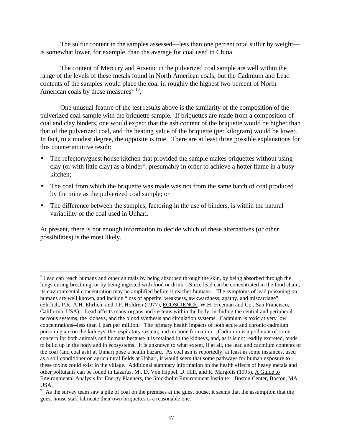The sulfur content in the samples assessed—less than one percent total sulfur by weight is somewhat lower, for example, than the average for coal used in China.

The content of Mercury and Arsenic in the pulverized coal sample are well within the range of the levels of these metals found in North American coals, but the Cadmium and Lead contents of the samples would place the coal in roughly the highest two percent of North American coals by those measures $v<sub>10</sub>$ .

One unusual feature of the test results above is the similarity of the composition of the pulverized coal sample with the briquette sample. If briquettes are made from a composition of coal and clay binders, one would expect that the ash content of the briquette would be higher than that of the pulverized coal, and the heating value of the briquette (per kilogram) would be lower. In fact, to a modest degree, the opposite is true. There are at least three possible explanations for this counterintuitive result:

- The refectory/guest house kitchen that provided the sample makes briquettes without using clay (or with little clay) as a binder<sup>w</sup>, presumably in order to achieve a hotter flame in a busy kitchen;
- The coal from which the briquette was made was not from the same batch of coal produced by the mine as the pulverized coal sample; or
- The difference between the samples, factoring in the use of binders, is within the natural variability of the coal used in Unhari.

At present, there is not enough information to decide which of these alternatives (or other possibilities) is the most likely.

 $\overline{a}$ 

<sup>&</sup>lt;sup>v</sup> Lead can reach humans and other animals by being absorbed through the skin, by being absorbed through the lungs during breathing, or by being ingested with food or drink. Since lead can be concentrated in the food chain, its environmental concentration may be amplified before it reaches humans. The symptoms of lead poisoning on humans are well known, and include "loss of appetite, weakness, awkwardness, apathy, and miscarriage" (Ehrlich, P.R, A.H. Ehrlich, and J.P. Holdren (1977), ECOSCIENCE, W.H. Freeman and Co., San Francisco, California, USA). Lead affects many organs and systems within the body, including the central and peripheral nervous systems, the kidneys, and the blood synthesis and circulation systems. Cadmium is toxic at very low concentrations--less than 1 part per million. The primary health impacts of both acute and chronic cadmium poisoning are on the kidneys, the respiratory system, and on bone formation. Cadmium is a pollutant of some concern for both animals and humans because it is retained in the kidneys, and, as it is not readily excreted, tends to build up in the body and in ecosystems. It is unknown to what extent, if at all, the lead and cadmium contents of the coal (and coal ash) at Unhari pose a health hazard. As coal ash is reportedly, at least in some instances, used as a soil conditioner on agricultural fields at Unhari, it would seem that some pathways for human exposure to these toxins could exist in the village. Additional summary information on the health effects of heavy metals and other pollutants can be found in Lazarus, M., D. Von Hippel, D. Hill, and R. Margolis (1995), A Guide to Environmental Analysis for Energy Planners, the Stockholm Environment Institute—Boston Center, Boston, MA, USA.

<sup>&</sup>lt;sup>w</sup> As the survey team saw a pile of coal on the premises at the guest house, it seems that the assumption that the guest house staff fabricate their own briquettes is a reasonable one.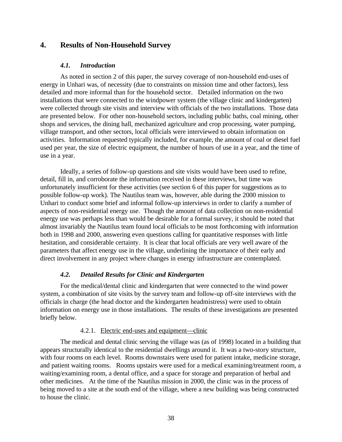# **4. Results of Non-Household Survey**

#### *4.1. Introduction*

As noted in section 2 of this paper, the survey coverage of non-household end-uses of energy in Unhari was, of necessity (due to constraints on mission time and other factors), less detailed and more informal than for the household sector. Detailed information on the two installations that were connected to the windpower system (the village clinic and kindergarten) were collected through site visits and interview with officials of the two installations. Those data are presented below. For other non-household sectors, including public baths, coal mining, other shops and services, the dining hall, mechanized agriculture and crop processing, water pumping, village transport, and other sectors, local officials were interviewed to obtain information on activities. Information requested typically included, for example, the amount of coal or diesel fuel used per year, the size of electric equipment, the number of hours of use in a year, and the time of use in a year.

Ideally, a series of follow-up questions and site visits would have been used to refine, detail, fill in, and corroborate the information received in these interviews, but time was unfortunately insufficient for these activities (see section 6 of this paper for suggestions as to possible follow-up work). The Nautilus team was, however, able during the 2000 mission to Unhari to conduct some brief and informal follow-up interviews in order to clarify a number of aspects of non-residential energy use. Though the amount of data collection on non-residential energy use was perhaps less than would be desirable for a formal survey, it should be noted that almost invariably the Nautilus team found local officials to be most forthcoming with information both in 1998 and 2000, answering even questions calling for quantitative responses with little hesitation, and considerable certainty. It is clear that local officials are very well aware of the parameters that affect energy use in the village, underlining the importance of their early and direct involvement in any project where changes in energy infrastructure are contemplated.

## *4.2. Detailed Results for Clinic and Kindergarten*

For the medical/dental clinic and kindergarten that were connected to the wind power system, a combination of site visits by the survey team and follow-up off-site interviews with the officials in charge (the head doctor and the kindergarten headmistress) were used to obtain information on energy use in those installations. The results of these investigations are presented briefly below.

#### 4.2.1. Electric end-uses and equipment—clinic

The medical and dental clinic serving the village was (as of 1998) located in a building that appears structurally identical to the residential dwellings around it. It was a two-story structure, with four rooms on each level. Rooms downstairs were used for patient intake, medicine storage, and patient waiting rooms. Rooms upstairs were used for a medical examining/treatment room, a waiting/examining room, a dental office, and a space for storage and preparation of herbal and other medicines. At the time of the Nautilus mission in 2000, the clinic was in the process of being moved to a site at the south end of the village, where a new building was being constructed to house the clinic.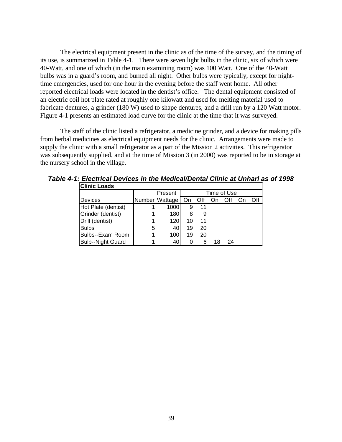The electrical equipment present in the clinic as of the time of the survey, and the timing of its use, is summarized in Table 4-1. There were seven light bulbs in the clinic, six of which were 40-Watt, and one of which (in the main examining room) was 100 Watt. One of the 40-Watt bulbs was in a guard's room, and burned all night. Other bulbs were typically, except for nighttime emergencies, used for one hour in the evening before the staff went home. All other reported electrical loads were located in the dentist's office. The dental equipment consisted of an electric coil hot plate rated at roughly one kilowatt and used for melting material used to fabricate dentures, a grinder (180 W) used to shape dentures, and a drill run by a 120 Watt motor. Figure 4-1 presents an estimated load curve for the clinic at the time that it was surveyed.

The staff of the clinic listed a refrigerator, a medicine grinder, and a device for making pills from herbal medicines as electrical equipment needs for the clinic. Arrangements were made to supply the clinic with a small refrigerator as a part of the Mission 2 activities. This refrigerator was subsequently supplied, and at the time of Mission 3 (in 2000) was reported to be in storage at the nursery school in the village.

| <b>Clinic Loads</b>      |   |                |    |     |             |     |     |
|--------------------------|---|----------------|----|-----|-------------|-----|-----|
|                          |   |                |    |     | Time of Use |     |     |
| <b>Devices</b>           |   | Number Wattage | On | Off | On.         | Off | Off |
| Hot Plate (dentist)      |   | 1000           | 9  | 11  |             |     |     |
| Grinder (dentist)        |   | 180            | 8  | 9   |             |     |     |
| Drill (dentist)          |   | 120            | 10 | 11  |             |     |     |
| <b>Bulbs</b>             | 5 | 40             | 19 | 20  |             |     |     |
| Bulbs--Exam Room         |   | 100            | 19 | 20  |             |     |     |
| <b>Bulb--Night Guard</b> |   | 40             | 0  | 6   | 18          | 24  |     |

*Table 4-1: Electrical Devices in the Medical/Dental Clinic at Unhari as of 1998*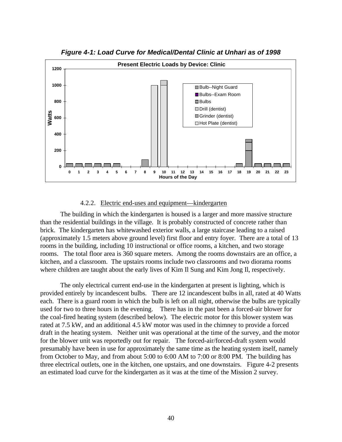

*Figure 4-1: Load Curve for Medical/Dental Clinic at Unhari as of 1998*

#### 4.2.2. Electric end-uses and equipment—kindergarten

The building in which the kindergarten is housed is a larger and more massive structure than the residential buildings in the village. It is probably constructed of concrete rather than brick. The kindergarten has whitewashed exterior walls, a large staircase leading to a raised (approximately 1.5 meters above ground level) first floor and entry foyer. There are a total of 13 rooms in the building, including 10 instructional or office rooms, a kitchen, and two storage rooms. The total floor area is 360 square meters. Among the rooms downstairs are an office, a kitchen, and a classroom. The upstairs rooms include two classrooms and two diorama rooms where children are taught about the early lives of Kim Il Sung and Kim Jong Il, respectively.

The only electrical current end-use in the kindergarten at present is lighting, which is provided entirely by incandescent bulbs. There are 12 incandescent bulbs in all, rated at 40 Watts each. There is a guard room in which the bulb is left on all night, otherwise the bulbs are typically used for two to three hours in the evening. There has in the past been a forced-air blower for the coal-fired heating system (described below). The electric motor for this blower system was rated at 7.5 kW, and an additional 4.5 kW motor was used in the chimney to provide a forced draft in the heating system. Neither unit was operational at the time of the survey, and the motor for the blower unit was reportedly out for repair. The forced-air/forced-draft system would presumably have been in use for approximately the same time as the heating system itself, namely from October to May, and from about 5:00 to 6:00 AM to 7:00 or 8:00 PM. The building has three electrical outlets, one in the kitchen, one upstairs, and one downstairs. Figure 4-2 presents an estimated load curve for the kindergarten as it was at the time of the Mission 2 survey.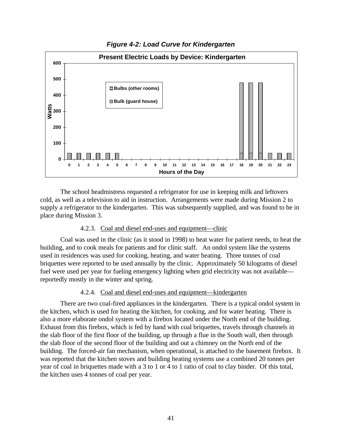

*Figure 4-2: Load Curve for Kindergarten*

The school headmistress requested a refrigerator for use in keeping milk and leftovers cold, as well as a television to aid in instruction. Arrangements were made during Mission 2 to supply a refrigerator to the kindergarten. This was subsequently supplied, and was found to be in place during Mission 3.

## 4.2.3. Coal and diesel end-uses and equipment—clinic

Coal was used in the clinic (as it stood in 1998) to heat water for patient needs, to heat the building, and to cook meals for patients and for clinic staff. An ondol system like the systems used in residences was used for cooking, heating, and water heating. Three tonnes of coal briquettes were reported to be used annually by the clinic. Approximately 50 kilograms of diesel fuel were used per year for fueling emergency lighting when grid electricity was not available reportedly mostly in the winter and spring.

## 4.2.4. Coal and diesel end-uses and equipment—kindergarten

There are two coal-fired appliances in the kindergarten. There is a typical ondol system in the kitchen, which is used for heating the kitchen, for cooking, and for water heating. There is also a more elaborate ondol system with a firebox located under the North end of the building. Exhaust from this firebox, which is fed by hand with coal briquettes, travels through channels in the slab floor of the first floor of the building, up through a flue in the South wall, then through the slab floor of the second floor of the building and out a chimney on the North end of the building. The forced-air fan mechanism, when operational, is attached to the basement firebox. It was reported that the kitchen stoves and building heating systems use a combined 20 tonnes per year of coal in briquettes made with a 3 to 1 or 4 to 1 ratio of coal to clay binder. Of this total, the kitchen uses 4 tonnes of coal per year.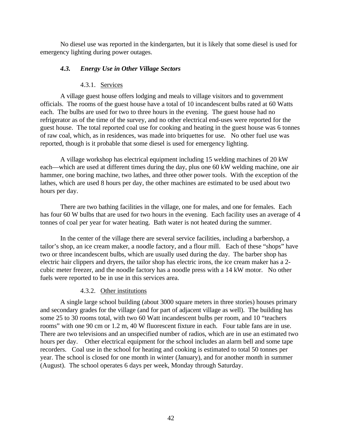No diesel use was reported in the kindergarten, but it is likely that some diesel is used for emergency lighting during power outages.

## *4.3. Energy Use in Other Village Sectors*

## 4.3.1. Services

A village guest house offers lodging and meals to village visitors and to government officials. The rooms of the guest house have a total of 10 incandescent bulbs rated at 60 Watts each. The bulbs are used for two to three hours in the evening. The guest house had no refrigerator as of the time of the survey, and no other electrical end-uses were reported for the guest house. The total reported coal use for cooking and heating in the guest house was 6 tonnes of raw coal, which, as in residences, was made into briquettes for use. No other fuel use was reported, though is it probable that some diesel is used for emergency lighting.

A village workshop has electrical equipment including 15 welding machines of 20 kW each—which are used at different times during the day, plus one 60 kW welding machine, one air hammer, one boring machine, two lathes, and three other power tools. With the exception of the lathes, which are used 8 hours per day, the other machines are estimated to be used about two hours per day.

There are two bathing facilities in the village, one for males, and one for females. Each has four 60 W bulbs that are used for two hours in the evening. Each facility uses an average of 4 tonnes of coal per year for water heating. Bath water is not heated during the summer.

In the center of the village there are several service facilities, including a barbershop, a tailor's shop, an ice cream maker, a noodle factory, and a flour mill. Each of these "shops" have two or three incandescent bulbs, which are usually used during the day. The barber shop has electric hair clippers and dryers, the tailor shop has electric irons, the ice cream maker has a 2 cubic meter freezer, and the noodle factory has a noodle press with a 14 kW motor. No other fuels were reported to be in use in this services area.

## 4.3.2. Other institutions

A single large school building (about 3000 square meters in three stories) houses primary and secondary grades for the village (and for part of adjacent village as well). The building has some 25 to 30 rooms total, with two 60 Watt incandescent bulbs per room, and 10 "teachers rooms" with one 90 cm or 1.2 m, 40 W fluorescent fixture in each. Four table fans are in use. There are two televisions and an unspecified number of radios, which are in use an estimated two hours per day. Other electrical equipment for the school includes an alarm bell and some tape recorders. Coal use in the school for heating and cooking is estimated to total 50 tonnes per year. The school is closed for one month in winter (January), and for another month in summer (August). The school operates 6 days per week, Monday through Saturday.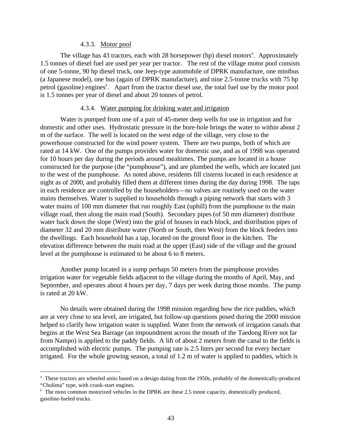## 4.3.3. Motor pool

The village has  $43$  tractors, each with  $28$  horsepower (hp) diesel motors<sup>x</sup>. Approximately 1.5 tonnes of diesel fuel are used per year per tractor. The rest of the village motor pool consists of one 5-tonne, 90 hp diesel truck, one Jeep-type automobile of DPRK manufacture, one minibus (a Japanese model), one bus (again of DPRK manufacture), and nine 2.5-tonne trucks with 75 hp petrol (gasoline) engines<sup>y</sup>. Apart from the tractor diesel use, the total fuel use by the motor pool is 1.5 tonnes per year of diesel and about 20 tonnes of petrol.

#### 4.3.4. Water pumping for drinking water and irrigation

Water is pumped from one of a pair of 45-meter deep wells for use in irrigation and for domestic and other uses. Hydrostatic pressure in the bore-hole brings the water to within about 2 m of the surface. The well is located on the west edge of the village, very close to the powerhouse constructed for the wind power system. There are two pumps, both of which are rated at 14 kW. One of the pumps provides water for domestic use, and as of 1998 was operated for 10 hours per day during the periods around mealtimes. The pumps are located in a house constructed for the purpose (the "pumphouse"), and are plumbed the wells, which are located just to the west of the pumphouse. As noted above, residents fill cisterns located in each residence at night as of 2000, and probably filled them at different times during the day during 1998. The taps in each residence are controlled by the householders—no valves are routinely used on the water mains themselves. Water is supplied to households through a piping network that starts with 3 water mains of 100 mm diameter that run roughly East (uphill) from the pumphouse to the main village road, then along the main road (South). Secondary pipes (of 50 mm diameter) distribute water back down the slope (West) into the grid of houses in each block, and distribution pipes of diameter 32 and 20 mm distribute water (North or South, then West) from the block feeders into the dwellings. Each household has a tap, located on the ground floor in the kitchen. The elevation difference between the main road at the upper (East) side of the village and the ground level at the pumphouse is estimated to be about 6 to 8 meters.

Another pump located in a sump perhaps 50 meters from the pumphouse provides irrigation water for vegetable fields adjacent to the village during the months of April, May, and September, and operates about 4 hours per day, 7 days per week during those months. The pump is rated at 20 kW.

No details were obtained during the 1998 mission regarding how the rice paddies, which are at very close to sea level, are irrigated, but follow-up questions posed during the 2000 mission helped to clarify how irrigation water is supplied. Water from the network of irrigation canals that begins at the West Sea Barrage (an impoundment across the mouth of the Taedong River not far from Nampo) is applied to the paddy fields. A lift of about 2 meters from the canal to the fields is accomplished with electric pumps. The pumping rate is 2.5 liters per second for every hectare irrigated. For the whole growing season, a total of 1.2 m of water is applied to paddies, which is

<u>.</u>

<sup>&</sup>lt;sup>x</sup> These tractors are wheeled units based on a design dating from the 1950s, probably of the domestically-produced "Cholima" type, with crank-start engines.

<sup>&</sup>lt;sup>y</sup> The most common motorized vehicles in the DPRK are these 2.5 tonne capacity, domestically produced, gasoline-fueled trucks.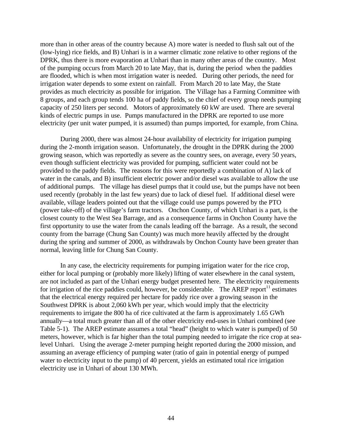more than in other areas of the country because A) more water is needed to flush salt out of the (low-lying) rice fields, and B) Unhari is in a warmer climatic zone relative to other regions of the DPRK, thus there is more evaporation at Unhari than in many other areas of the country. Most of the pumping occurs from March 20 to late May, that is, during the period when the paddies are flooded, which is when most irrigation water is needed. During other periods, the need for irrigation water depends to some extent on rainfall. From March 20 to late May, the State provides as much electricity as possible for irrigation. The Village has a Farming Committee with 8 groups, and each group tends 100 ha of paddy fields, so the chief of every group needs pumping capacity of 250 liters per second. Motors of approximately 60 kW are used. There are several kinds of electric pumps in use. Pumps manufactured in the DPRK are reported to use more electricity (per unit water pumped, it is assumed) than pumps imported, for example, from China.

During 2000, there was almost 24-hour availability of electricity for irrigation pumping during the 2-month irrigation season. Unfortunately, the drought in the DPRK during the 2000 growing season, which was reportedly as severe as the country sees, on average, every 50 years, even though sufficient electricity was provided for pumping, sufficient water could not be provided to the paddy fields. The reasons for this were reportedly a combination of A) lack of water in the canals, and B) insufficient electric power and/or diesel was available to allow the use of additional pumps. The village has diesel pumps that it could use, but the pumps have not been used recently (probably in the last few years) due to lack of diesel fuel. If additional diesel were available, village leaders pointed out that the village could use pumps powered by the PTO (power take-off) of the village's farm tractors. Onchon County, of which Unhari is a part, is the closest county to the West Sea Barrage, and as a consequence farms in Onchon County have the first opportunity to use the water from the canals leading off the barrage. As a result, the second county from the barrage (Chung San County) was much more heavily affected by the drought during the spring and summer of 2000, as withdrawals by Onchon County have been greater than normal, leaving little for Chung San County.

In any case, the electricity requirements for pumping irrigation water for the rice crop, either for local pumping or (probably more likely) lifting of water elsewhere in the canal system, are not included as part of the Unhari energy budget presented here. The electricity requirements for irrigation of the rice paddies could, however, be considerable. The AREP report<sup>11</sup> estimates that the electrical energy required per hectare for paddy rice over a growing season in the Southwest DPRK is about 2,060 kWh per year, which would imply that the electricity requirements to irrigate the 800 ha of rice cultivated at the farm is approximately 1.65 GWh annually—a total much greater than all of the other electricity end-uses in Unhari combined (see Table 5-1). The AREP estimate assumes a total "head" (height to which water is pumped) of 50 meters, however, which is far higher than the total pumping needed to irrigate the rice crop at sealevel Unhari. Using the average 2-meter pumping height reported during the 2000 mission, and assuming an average efficiency of pumping water (ratio of gain in potential energy of pumped water to electricity input to the pump) of 40 percent, yields an estimated total rice irrigation electricity use in Unhari of about 130 MWh.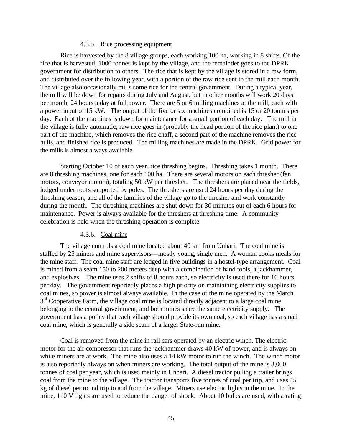#### 4.3.5. Rice processing equipment

Rice is harvested by the 8 village groups, each working 100 ha, working in 8 shifts. Of the rice that is harvested, 1000 tonnes is kept by the village, and the remainder goes to the DPRK government for distribution to others. The rice that is kept by the village is stored in a raw form, and distributed over the following year, with a portion of the raw rice sent to the mill each month. The village also occasionally mills some rice for the central government. During a typical year, the mill will be down for repairs during July and August, but in other months will work 20 days per month, 24 hours a day at full power. There are 5 or 6 milling machines at the mill, each with a power input of 15 kW. The output of the five or six machines combined is 15 or 20 tonnes per day. Each of the machines is down for maintenance for a small portion of each day. The mill in the village is fully automatic; raw rice goes in (probably the head portion of the rice plant) to one part of the machine, which removes the rice chaff, a second part of the machine removes the rice hulls, and finished rice is produced. The milling machines are made in the DPRK. Grid power for the mills is almost always available.

Starting October 10 of each year, rice threshing begins. Threshing takes 1 month. There are 8 threshing machines, one for each 100 ha. There are several motors on each thresher (fan motors, conveyor motors), totaling 50 kW per thresher. The threshers are placed near the fields, lodged under roofs supported by poles. The threshers are used 24 hours per day during the threshing season, and all of the families of the village go to the thresher and work constantly during the month. The threshing machines are shut down for 30 minutes out of each 6 hours for maintenance. Power is always available for the threshers at threshing time. A community celebration is held when the threshing operation is complete.

## 4.3.6. Coal mine

The village controls a coal mine located about 40 km from Unhari. The coal mine is staffed by 25 miners and mine supervisors—mostly young, single men. A woman cooks meals for the mine staff. The coal mine staff are lodged in five buildings in a hostel-type arrangement. Coal is mined from a seam 150 to 200 meters deep with a combination of hand tools, a jackhammer, and explosives. The mine uses 2 shifts of 8 hours each, so electricity is used there for 16 hours per day. The government reportedly places a high priority on maintaining electricity supplies to coal mines, so power is almost always available. In the case of the mine operated by the March  $3<sup>rd</sup>$  Cooperative Farm, the village coal mine is located directly adjacent to a large coal mine belonging to the central government, and both mines share the same electricity supply. The government has a policy that each village should provide its own coal, so each village has a small coal mine, which is generally a side seam of a larger State-run mine.

Coal is removed from the mine in rail cars operated by an electric winch. The electric motor for the air compressor that runs the jackhammer draws 40 kW of power, and is always on while miners are at work. The mine also uses a 14 kW motor to run the winch. The winch motor is also reportedly always on when miners are working. The total output of the mine is 3,000 tonnes of coal per year, which is used mainly in Unhari. A diesel tractor pulling a trailer brings coal from the mine to the village. The tractor transports five tonnes of coal per trip, and uses 45 kg of diesel per round trip to and from the village. Miners use electric lights in the mine. In the mine, 110 V lights are used to reduce the danger of shock. About 10 bulbs are used, with a rating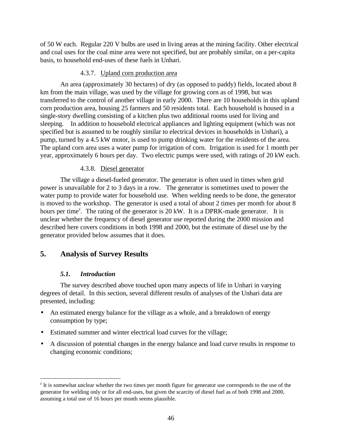of 50 W each. Regular 220 V bulbs are used in living areas at the mining facility. Other electrical and coal uses for the coal mine area were not specified, but are probably similar, on a per-capita basis, to household end-uses of these fuels in Unhari.

## 4.3.7. Upland corn production area

An area (approximately 30 hectares) of dry (as opposed to paddy) fields, located about 8 km from the main village, was used by the village for growing corn as of 1998, but was transferred to the control of another village in early 2000. There are 10 households in this upland corn production area, housing 25 farmers and 50 residents total. Each household is housed in a single-story dwelling consisting of a kitchen plus two additional rooms used for living and sleeping. In addition to household electrical appliances and lighting equipment (which was not specified but is assumed to be roughly similar to electrical devices in households in Unhari), a pump, turned by a 4.5 kW motor, is used to pump drinking water for the residents of the area. The upland corn area uses a water pump for irrigation of corn. Irrigation is used for 1 month per year, approximately 6 hours per day. Two electric pumps were used, with ratings of 20 kW each.

## 4.3.8. Diesel generator

The village a diesel-fueled generator. The generator is often used in times when grid power is unavailable for 2 to 3 days in a row. The generator is sometimes used to power the water pump to provide water for household use. When welding needs to be done, the generator is moved to the workshop. The generator is used a total of about 2 times per month for about 8 hours per time<sup>z</sup>. The rating of the generator is 20 kW. It is a DPRK-made generator. It is unclear whether the frequency of diesel generator use reported during the 2000 mission and described here covers conditions in both 1998 and 2000, but the estimate of diesel use by the generator provided below assumes that it does.

# **5. Analysis of Survey Results**

## *5.1. Introduction*

 $\overline{a}$ 

The survey described above touched upon many aspects of life in Unhari in varying degrees of detail. In this section, several different results of analyses of the Unhari data are presented, including:

- An estimated energy balance for the village as a whole, and a breakdown of energy consumption by type;
- Estimated summer and winter electrical load curves for the village;
- A discussion of potential changes in the energy balance and load curve results in response to changing economic conditions;

 $z$ <sup>z</sup> It is somewhat unclear whether the two times per month figure for generator use corresponds to the use of the generator for welding only or for all end-uses, but given the scarcity of diesel fuel as of both 1998 and 2000, assuming a total use of 16 hours per month seems plausible.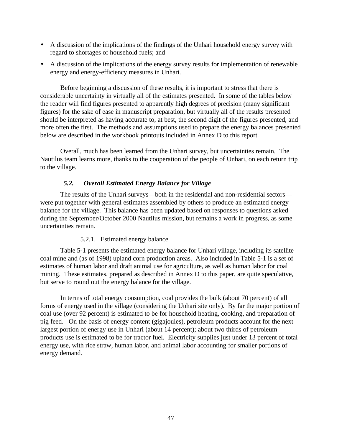- A discussion of the implications of the findings of the Unhari household energy survey with regard to shortages of household fuels; and
- A discussion of the implications of the energy survey results for implementation of renewable energy and energy-efficiency measures in Unhari.

Before beginning a discussion of these results, it is important to stress that there is considerable uncertainty in virtually all of the estimates presented. In some of the tables below the reader will find figures presented to apparently high degrees of precision (many significant figures) for the sake of ease in manuscript preparation, but virtually all of the results presented should be interpreted as having accurate to, at best, the second digit of the figures presented, and more often the first. The methods and assumptions used to prepare the energy balances presented below are described in the workbook printouts included in Annex D to this report.

Overall, much has been learned from the Unhari survey, but uncertainties remain. The Nautilus team learns more, thanks to the cooperation of the people of Unhari, on each return trip to the village.

## *5.2. Overall Estimated Energy Balance for Village*

The results of the Unhari surveys—both in the residential and non-residential sectors were put together with general estimates assembled by others to produce an estimated energy balance for the village. This balance has been updated based on responses to questions asked during the September/October 2000 Nautilus mission, but remains a work in progress, as some uncertainties remain.

## 5.2.1. Estimated energy balance

Table 5-1 presents the estimated energy balance for Unhari village, including its satellite coal mine and (as of 1998) upland corn production areas. Also included in Table 5-1 is a set of estimates of human labor and draft animal use for agriculture, as well as human labor for coal mining. These estimates, prepared as described in Annex D to this paper, are quite speculative, but serve to round out the energy balance for the village.

In terms of total energy consumption, coal provides the bulk (about 70 percent) of all forms of energy used in the village (considering the Unhari site only). By far the major portion of coal use (over 92 percent) is estimated to be for household heating, cooking, and preparation of pig feed. On the basis of energy content (gigajoules), petroleum products account for the next largest portion of energy use in Unhari (about 14 percent); about two thirds of petroleum products use is estimated to be for tractor fuel. Electricity supplies just under 13 percent of total energy use, with rice straw, human labor, and animal labor accounting for smaller portions of energy demand.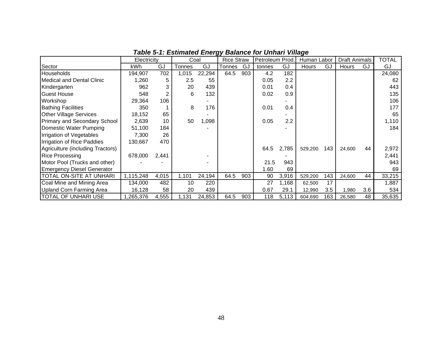|                                   | Electricity |       | Coal   |        | <b>Rice Straw</b> |     | Petroleum Prod. |       | Human Labor  |     | <b>Draft Animals</b> |     | <b>TOTAL</b> |
|-----------------------------------|-------------|-------|--------|--------|-------------------|-----|-----------------|-------|--------------|-----|----------------------|-----|--------------|
| Sector                            | kWh         | GJ    | Tonnes | GJ     | Tonnes            | GJ  | tonnes          | GJ    | <b>Hours</b> | GJ  | Hours                | GJ  | GJ           |
| <b>I</b> Households               | 194.907     | 702   | 1,015  | 22,294 | 64.5              | 903 | 4.2             | 182   |              |     |                      |     | 24,080       |
| Medical and Dental Clinic         | 1,260       | 5     | 2.5    | 55     |                   |     | 0.05            | 2.2   |              |     |                      |     | 62           |
| Kindergarten                      | 962         | 3     | 20     | 439    |                   |     | 0.01            | 0.4   |              |     |                      |     | 443          |
| <b>Guest House</b>                | 548         | 2     | 6      | 132    |                   |     | 0.02            | 0.9   |              |     |                      |     | 135          |
| <b>Workshop</b>                   | 29,364      | 106   |        |        |                   |     |                 |       |              |     |                      |     | 106          |
| <b>Bathing Facilities</b>         | 350         |       | 8      | 176    |                   |     | 0.01            | 0.4   |              |     |                      |     | 177          |
| <b>Other Village Services</b>     | 18,152      | 65    |        |        |                   |     |                 |       |              |     |                      |     | 65           |
| Primary and Secondary School      | 2,639       | 10    | 50     | 1,098  |                   |     | 0.05            | 2.2   |              |     |                      |     | 1,110        |
| Domestic Water Pumping            | 51,100      | 184   |        |        |                   |     |                 |       |              |     |                      |     | 184          |
| Irrigation of Vegetables          | 7,300       | 26    |        |        |                   |     |                 |       |              |     |                      |     |              |
| Irrigation of Rice Paddies        | 130,667     | 470   |        |        |                   |     |                 |       |              |     |                      |     |              |
| Agriculture (including Tractors)  |             |       |        |        |                   |     | 64.5            | 2,785 | 529,200      | 143 | 24,600               | 44  | 2,972        |
| Rice Processing                   | 678,000     | 2,441 |        |        |                   |     |                 |       |              |     |                      |     | 2,441        |
| Motor Pool (Trucks and other)     |             |       |        |        |                   |     | 21.5            | 943   |              |     |                      |     | 943          |
| <b>Emergency Diesel Generator</b> |             |       |        |        |                   |     | 1.60            | 69    |              |     |                      |     | 69           |
| <b>TOTAL ON-SITE AT UNHARI</b>    | 1,115,248   | 4,015 | 1,101  | 24,194 | 64.5              | 903 | 90              | 3,916 | 529,200      | 143 | 24,600               | 44  | 33,215       |
| Coal Mine and Mining Area         | 134,000     | 482   | 10     | 220    |                   |     | 27              | 1,168 | 62,500       | 17  |                      |     | 1,887        |
| Upland Corn Farming Area          | 16,128      | 58    | 20     | 439    |                   |     | 0.67            | 29.1  | 12,990       | 3.5 | 1,980                | 3.6 | 534          |
| <b>TOTAL OF UNHARI USE</b>        | ,265,376    | 4,555 | 1,131  | 24,853 | 64.5              | 903 | 118             | 5,113 | 604,690      | 163 | 26,580               | 48  | 35,635       |

*Table 5-1: Estimated Energy Balance for Unhari Village*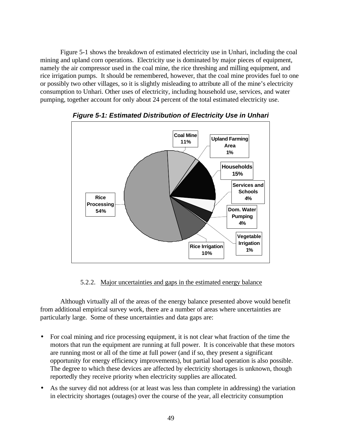Figure 5-1 shows the breakdown of estimated electricity use in Unhari, including the coal mining and upland corn operations. Electricity use is dominated by major pieces of equipment, namely the air compressor used in the coal mine, the rice threshing and milling equipment, and rice irrigation pumps. It should be remembered, however, that the coal mine provides fuel to one or possibly two other villages, so it is slightly misleading to attribute all of the mine's electricity consumption to Unhari. Other uses of electricity, including household use, services, and water pumping, together account for only about 24 percent of the total estimated electricity use.



*Figure 5-1: Estimated Distribution of Electricity Use in Unhari*

## 5.2.2. Major uncertainties and gaps in the estimated energy balance

Although virtually all of the areas of the energy balance presented above would benefit from additional empirical survey work, there are a number of areas where uncertainties are particularly large. Some of these uncertainties and data gaps are:

- For coal mining and rice processing equipment, it is not clear what fraction of the time the motors that run the equipment are running at full power. It is conceivable that these motors are running most or all of the time at full power (and if so, they present a significant opportunity for energy efficiency improvements), but partial load operation is also possible. The degree to which these devices are affected by electricity shortages is unknown, though reportedly they receive priority when electricity supplies are allocated.
- As the survey did not address (or at least was less than complete in addressing) the variation in electricity shortages (outages) over the course of the year, all electricity consumption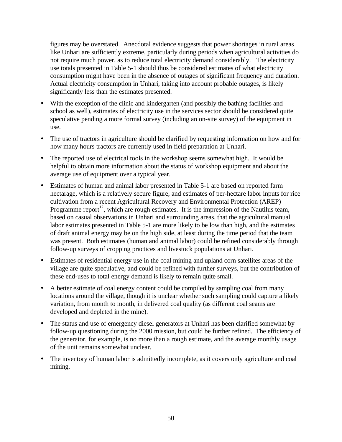figures may be overstated. Anecdotal evidence suggests that power shortages in rural areas like Unhari are sufficiently extreme, particularly during periods when agricultural activities do not require much power, as to reduce total electricity demand considerably. The electricity use totals presented in Table 5-1 should thus be considered estimates of what electricity consumption might have been in the absence of outages of significant frequency and duration. Actual electricity consumption in Unhari, taking into account probable outages, is likely significantly less than the estimates presented.

- With the exception of the clinic and kindergarten (and possibly the bathing facilities and school as well), estimates of electricity use in the services sector should be considered quite speculative pending a more formal survey (including an on-site survey) of the equipment in use.
- The use of tractors in agriculture should be clarified by requesting information on how and for how many hours tractors are currently used in field preparation at Unhari.
- The reported use of electrical tools in the workshop seems somewhat high. It would be helpful to obtain more information about the status of workshop equipment and about the average use of equipment over a typical year.
- Estimates of human and animal labor presented in Table 5-1 are based on reported farm hectarage, which is a relatively secure figure, and estimates of per-hectare labor inputs for rice cultivation from a recent Agricultural Recovery and Environmental Protection (AREP) Programme report<sup>12</sup>, which are rough estimates. It is the impression of the Nautilus team, based on casual observations in Unhari and surrounding areas, that the agricultural manual labor estimates presented in Table 5-1 are more likely to be low than high, and the estimates of draft animal energy may be on the high side, at least during the time period that the team was present. Both estimates (human and animal labor) could be refined considerably through follow-up surveys of cropping practices and livestock populations at Unhari.
- Estimates of residential energy use in the coal mining and upland corn satellites areas of the village are quite speculative, and could be refined with further surveys, but the contribution of these end-uses to total energy demand is likely to remain quite small.
- A better estimate of coal energy content could be compiled by sampling coal from many locations around the village, though it is unclear whether such sampling could capture a likely variation, from month to month, in delivered coal quality (as different coal seams are developed and depleted in the mine).
- The status and use of emergency diesel generators at Unhari has been clarified somewhat by follow-up questioning during the 2000 mission, but could be further refined. The efficiency of the generator, for example, is no more than a rough estimate, and the average monthly usage of the unit remains somewhat unclear.
- The inventory of human labor is admittedly incomplete, as it covers only agriculture and coal mining.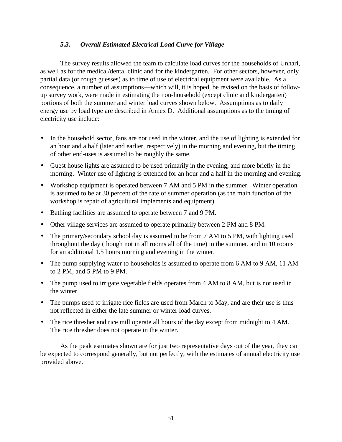## *5.3. Overall Estimated Electrical Load Curve for Village*

The survey results allowed the team to calculate load curves for the households of Unhari, as well as for the medical/dental clinic and for the kindergarten. For other sectors, however, only partial data (or rough guesses) as to time of use of electrical equipment were available. As a consequence, a number of assumptions—which will, it is hoped, be revised on the basis of followup survey work, were made in estimating the non-household (except clinic and kindergarten) portions of both the summer and winter load curves shown below. Assumptions as to daily energy use by load type are described in Annex D. Additional assumptions as to the timing of electricity use include:

- In the household sector, fans are not used in the winter, and the use of lighting is extended for an hour and a half (later and earlier, respectively) in the morning and evening, but the timing of other end-uses is assumed to be roughly the same.
- Guest house lights are assumed to be used primarily in the evening, and more briefly in the morning. Winter use of lighting is extended for an hour and a half in the morning and evening.
- Workshop equipment is operated between 7 AM and 5 PM in the summer. Winter operation is assumed to be at 30 percent of the rate of summer operation (as the main function of the workshop is repair of agricultural implements and equipment).
- Bathing facilities are assumed to operate between 7 and 9 PM.
- Other village services are assumed to operate primarily between 2 PM and 8 PM.
- The primary/secondary school day is assumed to be from 7 AM to 5 PM, with lighting used throughout the day (though not in all rooms all of the time) in the summer, and in 10 rooms for an additional 1.5 hours morning and evening in the winter.
- The pump supplying water to households is assumed to operate from 6 AM to 9 AM, 11 AM to 2 PM, and 5 PM to 9 PM.
- The pump used to irrigate vegetable fields operates from 4 AM to 8 AM, but is not used in the winter.
- The pumps used to irrigate rice fields are used from March to May, and are their use is thus not reflected in either the late summer or winter load curves.
- The rice thresher and rice mill operate all hours of the day except from midnight to 4 AM. The rice thresher does not operate in the winter.

As the peak estimates shown are for just two representative days out of the year, they can be expected to correspond generally, but not perfectly, with the estimates of annual electricity use provided above.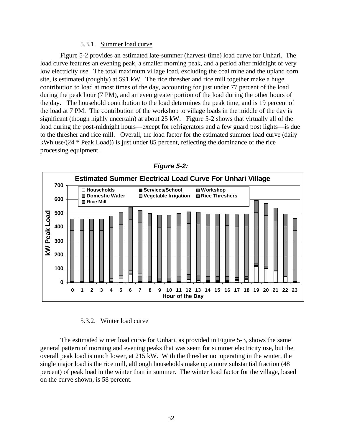#### 5.3.1. Summer load curve

Figure 5-2 provides an estimated late-summer (harvest-time) load curve for Unhari. The load curve features an evening peak, a smaller morning peak, and a period after midnight of very low electricity use. The total maximum village load, excluding the coal mine and the upland corn site, is estimated (roughly) at 591 kW. The rice thresher and rice mill together make a huge contribution to load at most times of the day, accounting for just under 77 percent of the load during the peak hour (7 PM), and an even greater portion of the load during the other hours of the day. The household contribution to the load determines the peak time, and is 19 percent of the load at 7 PM. The contribution of the workshop to village loads in the middle of the day is significant (though highly uncertain) at about 25 kW. Figure 5-2 shows that virtually all of the load during the post-midnight hours—except for refrigerators and a few guard post lights—is due to the thresher and rice mill. Overall, the load factor for the estimated summer load curve (daily kWh use/(24 \* Peak Load)) is just under 85 percent, reflecting the dominance of the rice processing equipment.



*Figure 5-2:*

#### 5.3.2. Winter load curve

The estimated winter load curve for Unhari, as provided in Figure 5-3, shows the same general pattern of morning and evening peaks that was seem for summer electricity use, but the overall peak load is much lower, at 215 kW. With the thresher not operating in the winter, the single major load is the rice mill, although households make up a more substantial fraction (48 percent) of peak load in the winter than in summer. The winter load factor for the village, based on the curve shown, is 58 percent.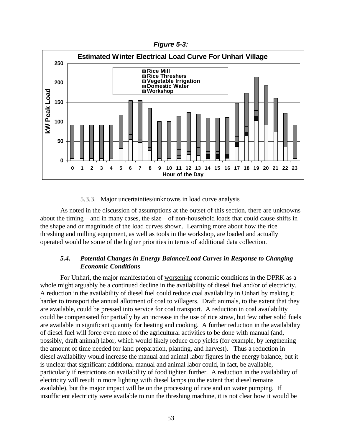*Figure 5-3:*



#### 5.3.3. Major uncertainties/unknowns in load curve analysis

As noted in the discussion of assumptions at the outset of this section, there are unknowns about the timing—and in many cases, the size—of non-household loads that could cause shifts in the shape and or magnitude of the load curves shown. Learning more about how the rice threshing and milling equipment, as well as tools in the workshop, are loaded and actually operated would be some of the higher priorities in terms of additional data collection.

## *5.4. Potential Changes in Energy Balance/Load Curves in Response to Changing Economic Conditions*

For Unhari, the major manifestation of worsening economic conditions in the DPRK as a whole might arguably be a continued decline in the availability of diesel fuel and/or of electricity. A reduction in the availability of diesel fuel could reduce coal availability in Unhari by making it harder to transport the annual allotment of coal to villagers. Draft animals, to the extent that they are available, could be pressed into service for coal transport. A reduction in coal availability could be compensated for partially by an increase in the use of rice straw, but few other solid fuels are available in significant quantity for heating and cooking. A further reduction in the availability of diesel fuel will force even more of the agricultural activities to be done with manual (and, possibly, draft animal) labor, which would likely reduce crop yields (for example, by lengthening the amount of time needed for land preparation, planting, and harvest). Thus a reduction in diesel availability would increase the manual and animal labor figures in the energy balance, but it is unclear that significant additional manual and animal labor could, in fact, be available, particularly if restrictions on availability of food tighten further. A reduction in the availability of electricity will result in more lighting with diesel lamps (to the extent that diesel remains available), but the major impact will be on the processing of rice and on water pumping. If insufficient electricity were available to run the threshing machine, it is not clear how it would be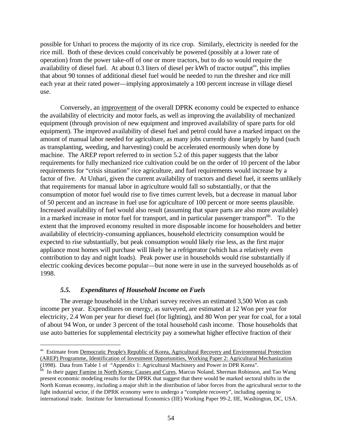possible for Unhari to process the majority of its rice crop. Similarly, electricity is needed for the rice mill. Both of these devices could conceivably be powered (possibly at a lower rate of operation) from the power take-off of one or more tractors, but to do so would require the availability of diesel fuel. At about 0.3 liters of diesel per kWh of tractor output<sup>aa</sup>, this implies that about 90 tonnes of additional diesel fuel would be needed to run the thresher and rice mill each year at their rated power—implying approximately a 100 percent increase in village diesel use.

Conversely, an improvement of the overall DPRK economy could be expected to enhance the availability of electricity and motor fuels, as well as improving the availability of mechanized equipment (through provision of new equipment and improved availability of spare parts for old equipment). The improved availability of diesel fuel and petrol could have a marked impact on the amount of manual labor needed for agriculture, as many jobs currently done largely by hand (such as transplanting, weeding, and harvesting) could be accelerated enormously when done by machine. The AREP report referred to in section 5.2 of this paper suggests that the labor requirements for fully mechanized rice cultivation could be on the order of 10 percent of the labor requirements for "crisis situation" rice agriculture, and fuel requirements would increase by a factor of five. At Unhari, given the current availability of tractors and diesel fuel, it seems unlikely that requirements for manual labor in agriculture would fall so substantially, or that the consumption of motor fuel would rise to five times current levels, but a decrease in manual labor of 50 percent and an increase in fuel use for agriculture of 100 percent or more seems plausible. Increased availability of fuel would also result (assuming that spare parts are also more available) in a marked increase in motor fuel for transport, and in particular passenger transport<sup>bb</sup>. To the extent that the improved economy resulted in more disposable income for householders and better availability of electricity-consuming appliances, household electricity consumption would be expected to rise substantially, but peak consumption would likely rise less, as the first major appliance most homes will purchase will likely be a refrigerator (which has a relatively even contribution to day and night loads). Peak power use in households would rise substantially if electric cooking devices become popular—but none were in use in the surveyed households as of 1998.

## *5.5. Expenditures of Household Income on Fuels*

 $\overline{a}$ 

The average household in the Unhari survey receives an estimated 3,500 Won as cash income per year. Expenditures on energy, as surveyed, are estimated at 12 Won per year for electricity, 2.4 Won per year for diesel fuel (for lighting), and 80 Won per year for coal, for a total of about 94 Won, or under 3 percent of the total household cash income. Those households that use auto batteries for supplemental electricity pay a somewhat higher effective fraction of their

<sup>&</sup>lt;sup>aa</sup> Estimate from Democratic People's Republic of Korea, Agricultural Recovery and Environmental Protection (AREP) Programme, Identification of Investment Opportunities, Working Paper 2: Agricultural Mechanization (1998). Data from Table 1 of "Appendix 1: Agricultural Machinery and Power in DPR Korea".

bb In their paper Famine in North Korea: Causes and Cures, Marcus Noland, Sherman Robinson, and Tao Wang present economic modeling results for the DPRK that suggest that there would be marked sectoral shifts in the North Korean economy, including a major shift in the distribution of labor forces from the agricultural sector to the light industrial sector, if the DPRK economy were to undergo a "complete recovery", including opening to international trade. Institute for International Economics (IIE) Working Paper 99-2, IIE, Washington, DC, USA.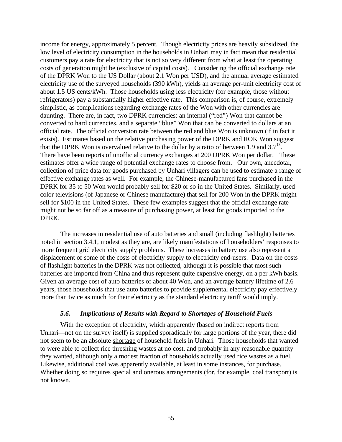income for energy, approximately 5 percent. Though electricity prices are heavily subsidized, the low level of electricity consumption in the households in Unhari may in fact mean that residential customers pay a rate for electricity that is not so very different from what at least the operating costs of generation might be (exclusive of capital costs). Considering the official exchange rate of the DPRK Won to the US Dollar (about 2.1 Won per USD), and the annual average estimated electricity use of the surveyed households (390 kWh), yields an average per-unit electricity cost of about 1.5 US cents/kWh. Those households using less electricity (for example, those without refrigerators) pay a substantially higher effective rate. This comparison is, of course, extremely simplistic, as complications regarding exchange rates of the Won with other currencies are daunting. There are, in fact, two DPRK currencies: an internal ("red") Won that cannot be converted to hard currencies, and a separate "blue" Won that can be converted to dollars at an official rate. The official conversion rate between the red and blue Won is unknown (if in fact it exists). Estimates based on the relative purchasing power of the DPRK and ROK Won suggest that the DPRK Won is overvalued relative to the dollar by a ratio of between 1.9 and  $3.7<sup>13</sup>$ . There have been reports of unofficial currency exchanges at 200 DPRK Won per dollar. These estimates offer a wide range of potential exchange rates to choose from. Our own, anecdotal, collection of price data for goods purchased by Unhari villagers can be used to estimate a range of effective exchange rates as well. For example, the Chinese-manufactured fans purchased in the DPRK for 35 to 50 Won would probably sell for \$20 or so in the United States. Similarly, used color televisions (of Japanese or Chinese manufacture) that sell for 200 Won in the DPRK might sell for \$100 in the United States. These few examples suggest that the official exchange rate might not be so far off as a measure of purchasing power, at least for goods imported to the DPRK.

The increases in residential use of auto batteries and small (including flashlight) batteries noted in section 3.4.1, modest as they are, are likely manifestations of householders' responses to more frequent grid electricity supply problems. These increases in battery use also represent a displacement of some of the costs of electricity supply to electricity end-users. Data on the costs of flashlight batteries in the DPRK was not collected, although it is possible that most such batteries are imported from China and thus represent quite expensive energy, on a per kWh basis. Given an average cost of auto batteries of about 40 Won, and an average battery lifetime of 2.6 years, those households that use auto batteries to provide supplemental electricity pay effectively more than twice as much for their electricity as the standard electricity tariff would imply.

#### *5.6. Implications of Results with Regard to Shortages of Household Fuels*

With the exception of electricity, which apparently (based on indirect reports from Unhari—not on the survey itself) is supplied sporadically for large portions of the year, there did not seem to be an absolute shortage of household fuels in Unhari. Those households that wanted to were able to collect rice threshing wastes at no cost, and probably in any reasonable quantity they wanted, although only a modest fraction of households actually used rice wastes as a fuel. Likewise, additional coal was apparently available, at least in some instances, for purchase. Whether doing so requires special and onerous arrangements (for, for example, coal transport) is not known.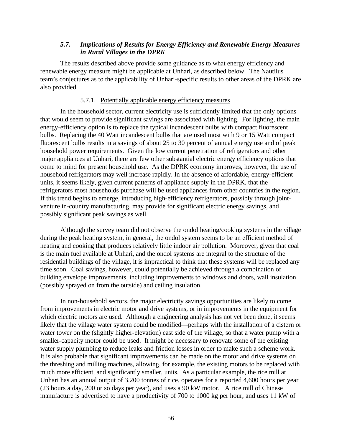## *5.7. Implications of Results for Energy Efficiency and Renewable Energy Measures in Rural Villages in the DPRK*

The results described above provide some guidance as to what energy efficiency and renewable energy measure might be applicable at Unhari, as described below. The Nautilus team's conjectures as to the applicability of Unhari-specific results to other areas of the DPRK are also provided.

#### 5.7.1. Potentially applicable energy efficiency measures

In the household sector, current electricity use is sufficiently limited that the only options that would seem to provide significant savings are associated with lighting. For lighting, the main energy-efficiency option is to replace the typical incandescent bulbs with compact fluorescent bulbs. Replacing the 40 Watt incandescent bulbs that are used most with 9 or 15 Watt compact fluorescent bulbs results in a savings of about 25 to 30 percent of annual energy use and of peak household power requirements. Given the low current penetration of refrigerators and other major appliances at Unhari, there are few other substantial electric energy efficiency options that come to mind for present household use. As the DPRK economy improves, however, the use of household refrigerators may well increase rapidly. In the absence of affordable, energy-efficient units, it seems likely, given current patterns of appliance supply in the DPRK, that the refrigerators most households purchase will be used appliances from other countries in the region. If this trend begins to emerge, introducing high-efficiency refrigerators, possibly through jointventure in-country manufacturing, may provide for significant electric energy savings, and possibly significant peak savings as well.

Although the survey team did not observe the ondol heating/cooking systems in the village during the peak heating system, in general, the ondol system seems to be an efficient method of heating and cooking that produces relatively little indoor air pollution. Moreover, given that coal is the main fuel available at Unhari, and the ondol systems are integral to the structure of the residential buildings of the village, it is impractical to think that these systems will be replaced any time soon. Coal savings, however, could potentially be achieved through a combination of building envelope improvements, including improvements to windows and doors, wall insulation (possibly sprayed on from the outside) and ceiling insulation.

In non-household sectors, the major electricity savings opportunities are likely to come from improvements in electric motor and drive systems, or in improvements in the equipment for which electric motors are used. Although a engineering analysis has not yet been done, it seems likely that the village water system could be modified—perhaps with the installation of a cistern or water tower on the (slightly higher-elevation) east side of the village, so that a water pump with a smaller-capacity motor could be used. It might be necessary to renovate some of the existing water supply plumbing to reduce leaks and friction losses in order to make such a scheme work. It is also probable that significant improvements can be made on the motor and drive systems on the threshing and milling machines, allowing, for example, the existing motors to be replaced with much more efficient, and significantly smaller, units. As a particular example, the rice mill at Unhari has an annual output of 3,200 tonnes of rice, operates for a reported 4,600 hours per year (23 hours a day, 200 or so days per year), and uses a 90 kW motor. A rice mill of Chinese manufacture is advertised to have a productivity of 700 to 1000 kg per hour, and uses 11 kW of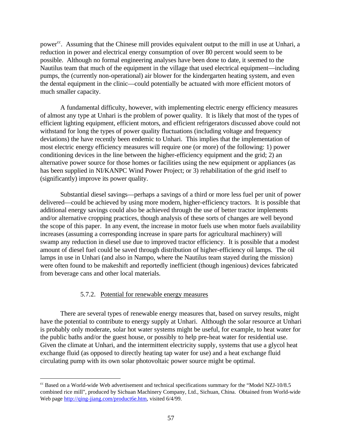power<sup>cc</sup>. Assuming that the Chinese mill provides equivalent output to the mill in use at Unhari, a reduction in power and electrical energy consumption of over 80 percent would seem to be possible. Although no formal engineering analyses have been done to date, it seemed to the Nautilus team that much of the equipment in the village that used electrical equipment—including pumps, the (currently non-operational) air blower for the kindergarten heating system, and even the dental equipment in the clinic—could potentially be actuated with more efficient motors of much smaller capacity.

A fundamental difficulty, however, with implementing electric energy efficiency measures of almost any type at Unhari is the problem of power quality. It is likely that most of the types of efficient lighting equipment, efficient motors, and efficient refrigerators discussed above could not withstand for long the types of power quality fluctuations (including voltage and frequency deviations) the have recently been endemic to Unhari. This implies that the implementation of most electric energy efficiency measures will require one (or more) of the following: 1) power conditioning devices in the line between the higher-efficiency equipment and the grid; 2) an alternative power source for those homes or facilities using the new equipment or appliances (as has been supplied in NI/KANPC Wind Power Project; or 3) rehabilitation of the grid itself to (significantly) improve its power quality.

Substantial diesel savings—perhaps a savings of a third or more less fuel per unit of power delivered—could be achieved by using more modern, higher-efficiency tractors. It is possible that additional energy savings could also be achieved through the use of better tractor implements and/or alternative cropping practices, though analysis of these sorts of changes are well beyond the scope of this paper. In any event, the increase in motor fuels use when motor fuels availability increases (assuming a corresponding increase in spare parts for agricultural machinery) will swamp any reduction in diesel use due to improved tractor efficiency. It is possible that a modest amount of diesel fuel could be saved through distribution of higher-efficiency oil lamps. The oil lamps in use in Unhari (and also in Nampo, where the Nautilus team stayed during the mission) were often found to be makeshift and reportedly inefficient (though ingenious) devices fabricated from beverage cans and other local materials.

## 5.7.2. Potential for renewable energy measures

<u>.</u>

There are several types of renewable energy measures that, based on survey results, might have the potential to contribute to energy supply at Unhari. Although the solar resource at Unhari is probably only moderate, solar hot water systems might be useful, for example, to heat water for the public baths and/or the guest house, or possibly to help pre-heat water for residential use. Given the climate at Unhari, and the intermittent electricity supply, systems that use a glycol heat exchange fluid (as opposed to directly heating tap water for use) and a heat exchange fluid circulating pump with its own solar photovoltaic power source might be optimal.

 $\degree$  Based on a World-wide Web advertisement and technical specifications summary for the "Model NZJ-10/8.5" combined rice mill", produced by Sichuan Machinery Company, Ltd., Sichuan, China. Obtained from World-wide Web page http://ging-jiang.com/product6e.htm, visited 6/4/99.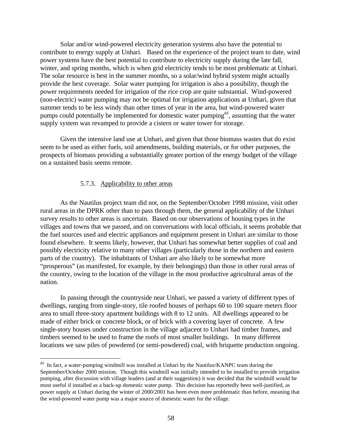Solar and/or wind-powered electricity generation systems also have the potential to contribute to energy supply at Unhari. Based on the experience of the project team to date, wind power systems have the best potential to contribute to electricity supply during the late fall, winter, and spring months, which is when grid electricity tends to be most problematic at Unhari. The solar resource is best in the summer months, so a solar/wind hybrid system might actually provide the best coverage. Solar water pumping for irrigation is also a possibility, though the power requirements needed for irrigation of the rice crop are quite substantial. Wind-powered (non-electric) water pumping may not be optimal for irrigation applications at Unhari, given that summer tends to be less windy than other times of year in the area, but wind-powered water pumps could potentially be implemented for domestic water pumping<sup>dd</sup>, assuming that the water supply system was revamped to provide a cistern or water tower for storage.

Given the intensive land use at Unhari, and given that those biomass wastes that do exist seem to be used as either fuels, soil amendments, building materials, or for other purposes, the prospects of biomass providing a substantially greater portion of the energy budget of the village on a sustained basis seems remote.

#### 5.7.3. Applicability to other areas

<u>.</u>

As the Nautilus project team did not, on the September/October 1998 mission, visit other rural areas in the DPRK other than to pass through them, the general applicability of the Unhari survey results to other areas is uncertain. Based on our observations of housing types in the villages and towns that we passed, and on conversations with local officials, it seems probable that the fuel sources used and electric appliances and equipment present in Unhari are similar to those found elsewhere. It seems likely, however, that Unhari has somewhat better supplies of coal and possibly electricity relative to many other villages (particularly those in the northern and eastern parts of the country). The inhabitants of Unhari are also likely to be somewhat more "prosperous" (as manifested, for example, by their belongings) than those in other rural areas of the country, owing to the location of the village in the most productive agricultural areas of the nation.

In passing through the countryside near Unhari, we passed a variety of different types of dwellings, ranging from single-story, tile roofed houses of perhaps 60 to 100 square meters floor area to small three-story apartment buildings with 8 to 12 units. All dwellings appeared to be made of either brick or concrete block, or of brick with a covering layer of concrete. A few single-story houses under construction in the village adjacent to Unhari had timber frames, and timbers seemed to be used to frame the roofs of most smaller buildings. In many different locations we saw piles of powdered (or semi-powdered) coal, with briquette production ongoing.

<sup>&</sup>lt;sup>dd</sup> In fact, a water-pumping windmill was installed at Unhari by the Nautilus/KANPC team during the September/October 2000 mission. Though this windmill was initially intended to be installed to provide irrigation pumping, after discussion with village leaders (and at their suggestion) it was decided that the windmill would be most useful if installed as a back-up domestic water pump. This decision has reportedly been well-justified, as power supply at Unhari during the winter of 2000/2001 has been even more problematic than before, meaning that the wind-powered water pump was a major source of domestic water for the village.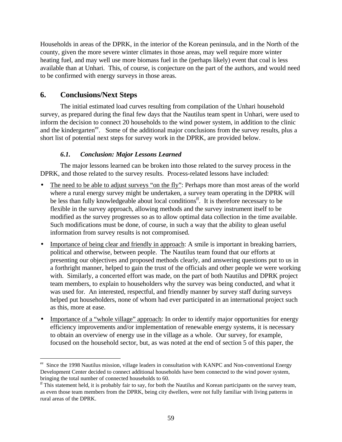Households in areas of the DPRK, in the interior of the Korean peninsula, and in the North of the county, given the more severe winter climates in those areas, may well require more winter heating fuel, and may well use more biomass fuel in the (perhaps likely) event that coal is less available than at Unhari. This, of course, is conjecture on the part of the authors, and would need to be confirmed with energy surveys in those areas.

# **6. Conclusions/Next Steps**

 $\overline{a}$ 

The initial estimated load curves resulting from compilation of the Unhari household survey, as prepared during the final few days that the Nautilus team spent in Unhari, were used to inform the decision to connect 20 households to the wind power system, in addition to the clinic and the kindergarten<sup>ee</sup>. Some of the additional major conclusions from the survey results, plus a short list of potential next steps for survey work in the DPRK, are provided below.

# *6.1. Conclusion: Major Lessons Learned*

The major lessons learned can be broken into those related to the survey process in the DPRK, and those related to the survey results. Process-related lessons have included:

- The need to be able to adjust surveys "on the fly": Perhaps more than most areas of the world where a rural energy survey might be undertaken, a survey team operating in the DPRK will be less than fully knowledgeable about local conditions<sup>ff</sup>. It is therefore necessary to be flexible in the survey approach, allowing methods and the survey instrument itself to be modified as the survey progresses so as to allow optimal data collection in the time available. Such modifications must be done, of course, in such a way that the ability to glean useful information from survey results is not compromised.
- Importance of being clear and friendly in approach: A smile is important in breaking barriers, political and otherwise, between people. The Nautilus team found that our efforts at presenting our objectives and proposed methods clearly, and answering questions put to us in a forthright manner, helped to gain the trust of the officials and other people we were working with. Similarly, a concerted effort was made, on the part of both Nautilus and DPRK project team members, to explain to householders why the survey was being conducted, and what it was used for. An interested, respectful, and friendly manner by survey staff during surveys helped put householders, none of whom had ever participated in an international project such as this, more at ease.
- Importance of a "whole village" approach: In order to identify major opportunities for energy efficiency improvements and/or implementation of renewable energy systems, it is necessary to obtain an overview of energy use in the village as a whole. Our survey, for example, focused on the household sector, but, as was noted at the end of section 5 of this paper, the

<sup>&</sup>lt;sup>ee</sup> Since the 1998 Nautilus mission, village leaders in consultation with KANPC and Non-conventional Energy Development Center decided to connect additional households have been connected to the wind power system, bringing the total number of connected households to 60.

 $<sup>ff</sup>$ This statement held, it is probably fair to say, for both the Nautilus and Korean participants on the survey team,</sup> as even those team members from the DPRK, being city dwellers, were not fully familiar with living patterns in rural areas of the DPRK.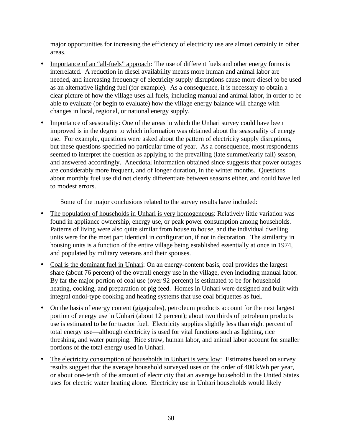major opportunities for increasing the efficiency of electricity use are almost certainly in other areas.

- Importance of an "all-fuels" approach: The use of different fuels and other energy forms is interrelated. A reduction in diesel availability means more human and animal labor are needed, and increasing frequency of electricity supply disruptions cause more diesel to be used as an alternative lighting fuel (for example). As a consequence, it is necessary to obtain a clear picture of how the village uses all fuels, including manual and animal labor, in order to be able to evaluate (or begin to evaluate) how the village energy balance will change with changes in local, regional, or national energy supply.
- Importance of seasonality: One of the areas in which the Unhari survey could have been improved is in the degree to which information was obtained about the seasonality of energy use. For example, questions were asked about the pattern of electricity supply disruptions, but these questions specified no particular time of year. As a consequence, most respondents seemed to interpret the question as applying to the prevailing (late summer/early fall) season, and answered accordingly. Anecdotal information obtained since suggests that power outages are considerably more frequent, and of longer duration, in the winter months. Questions about monthly fuel use did not clearly differentiate between seasons either, and could have led to modest errors.

Some of the major conclusions related to the survey results have included:

- The population of households in Unhari is very homogeneous: Relatively little variation was found in appliance ownership, energy use, or peak power consumption among households. Patterns of living were also quite similar from house to house, and the individual dwelling units were for the most part identical in configuration, if not in decoration. The similarity in housing units is a function of the entire village being established essentially at once in 1974, and populated by military veterans and their spouses.
- Coal is the dominant fuel in Unhari: On an energy-content basis, coal provides the largest share (about 76 percent) of the overall energy use in the village, even including manual labor. By far the major portion of coal use (over 92 percent) is estimated to be for household heating, cooking, and preparation of pig feed. Homes in Unhari were designed and built with integral ondol-type cooking and heating systems that use coal briquettes as fuel.
- On the basis of energy content (gigajoules), petroleum products account for the next largest portion of energy use in Unhari (about 12 percent); about two thirds of petroleum products use is estimated to be for tractor fuel. Electricity supplies slightly less than eight percent of total energy use—although electricity is used for vital functions such as lighting, rice threshing, and water pumping. Rice straw, human labor, and animal labor account for smaller portions of the total energy used in Unhari.
- The electricity consumption of households in Unhari is very low: Estimates based on survey results suggest that the average household surveyed uses on the order of 400 kWh per year, or about one-tenth of the amount of electricity that an average household in the United States uses for electric water heating alone. Electricity use in Unhari households would likely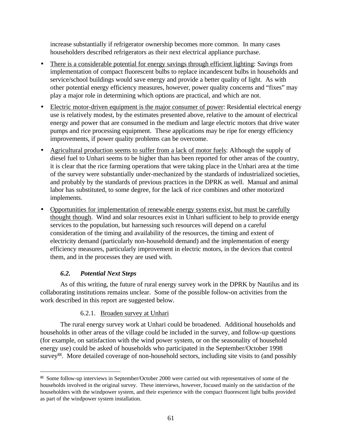increase substantially if refrigerator ownership becomes more common. In many cases householders described refrigerators as their next electrical appliance purchase.

- There is a considerable potential for energy savings through efficient lighting: Savings from implementation of compact fluorescent bulbs to replace incandescent bulbs in households and service/school buildings would save energy and provide a better quality of light. As with other potential energy efficiency measures, however, power quality concerns and "fixes" may play a major role in determining which options are practical, and which are not.
- Electric motor-driven equipment is the major consumer of power: Residential electrical energy use is relatively modest, by the estimates presented above, relative to the amount of electrical energy and power that are consumed in the medium and large electric motors that drive water pumps and rice processing equipment. These applications may be ripe for energy efficiency improvements, if power quality problems can be overcome.
- Agricultural production seems to suffer from a lack of motor fuels: Although the supply of diesel fuel to Unhari seems to be higher than has been reported for other areas of the country, it is clear that the rice farming operations that were taking place in the Unhari area at the time of the survey were substantially under-mechanized by the standards of industrialized societies, and probably by the standards of previous practices in the DPRK as well. Manual and animal labor has substituted, to some degree, for the lack of rice combines and other motorized implements.
- Opportunities for implementation of renewable energy systems exist, but must be carefully thought though. Wind and solar resources exist in Unhari sufficient to help to provide energy services to the population, but harnessing such resources will depend on a careful consideration of the timing and availability of the resources, the timing and extent of electricity demand (particularly non-household demand) and the implementation of energy efficiency measures, particularly improvement in electric motors, in the devices that control them, and in the processes they are used with.

# *6.2. Potential Next Steps*

As of this writing, the future of rural energy survey work in the DPRK by Nautilus and its collaborating institutions remains unclear. Some of the possible follow-on activities from the work described in this report are suggested below.

# 6.2.1. Broaden survey at Unhari

The rural energy survey work at Unhari could be broadened. Additional households and households in other areas of the village could be included in the survey, and follow-up questions (for example, on satisfaction with the wind power system, or on the seasonality of household energy use) could be asked of households who participated in the September/October 1998 survey<sup>gg</sup>. More detailed coverage of non-household sectors, including site visits to (and possibly

<sup>&</sup>lt;u>.</u> <sup>gg</sup> Some follow-up interviews in September/October 2000 were carried out with representatives of some of the households involved in the original survey. These interviews, however, focused mainly on the satisfaction of the householders with the windpower system, and their experience with the compact fluorescent light bulbs provided as part of the windpower system installation.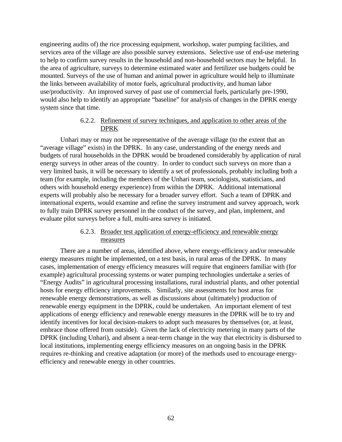engineering audits of) the rice processing equipment, workshop, water pumping facilities, and services area of the village are also possible survey extensions. Selective use of end-use metering to help to confirm survey results in the household and non-household sectors may be helpful. In the area of agriculture, surveys to determine estimated water and fertilizer use budgets could be mounted. Surveys of the use of human and animal power in agriculture would help to illuminate the links between availability of motor fuels, agricultural productivity, and human labor use/productivity. An improved survey of past use of commercial fuels, particularly pre-1990, would also help to identify an appropriate "baseline" for analysis of changes in the DPRK energy system since that time.

## 6.2.2. Refinement of survey techniques, and application to other areas of the DPRK

Unhari may or may not be representative of the average village (to the extent that an "average village" exists) in the DPRK. In any case, understanding of the energy needs and budgets of rural households in the DPRK would be broadened considerably by application of rural energy surveys in other areas of the country. In order to conduct such surveys on more than a very limited basis, it will be necessary to identify a set of professionals, probably including both a team (for example, including the members of the Unhari team, sociologists, statisticians, and others with household energy experience) from within the DPRK. Additional international experts will probably also be necessary for a broader survey effort. Such a team of DPRK and international experts, would examine and refine the survey instrument and survey approach, work to fully train DPRK survey personnel in the conduct of the survey, and plan, implement, and evaluate pilot surveys before a full, multi-area survey is initiated.

## 6.2.3. Broader test application of energy-efficiency and renewable energy measures

There are a number of areas, identified above, where energy-efficiency and/or renewable energy measures might be implemented, on a test basis, in rural areas of the DPRK. In many cases, implementation of energy efficiency measures will require that engineers familiar with (for example) agricultural processing systems or water pumping technologies undertake a series of "Energy Audits" in agricultural processing installations, rural industrial plants, and other potential hosts for energy efficiency improvements. Similarly, site assessments for host areas for renewable energy demonstrations, as well as discussions about (ultimately) production of renewable energy equipment in the DPRK, could be undertaken. An important element of test applications of energy efficiency and renewable energy measures in the DPRK will be to try and identify incentives for local decision-makers to adopt such measures by themselves (or, at least, embrace those offered from outside). Given the lack of electricity metering in many parts of the DPRK (including Unhari), and absent a near-term change in the way that electricity is disbursed to local institutions, implementing energy efficiency measures on an ongoing basis in the DPRK requires re-thinking and creative adaptation (or more) of the methods used to encourage energyefficiency and renewable energy in other countries.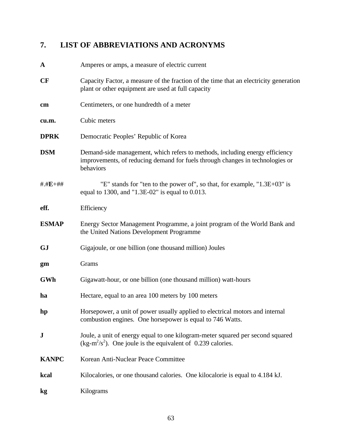# **7. LIST OF ABBREVIATIONS AND ACRONYMS**

| $\mathbf A$  | Amperes or amps, a measure of electric current                                                                                                                             |
|--------------|----------------------------------------------------------------------------------------------------------------------------------------------------------------------------|
| CF           | Capacity Factor, a measure of the fraction of the time that an electricity generation<br>plant or other equipment are used at full capacity                                |
| cm           | Centimeters, or one hundredth of a meter                                                                                                                                   |
| cu.m.        | Cubic meters                                                                                                                                                               |
| <b>DPRK</b>  | Democratic Peoples' Republic of Korea                                                                                                                                      |
| <b>DSM</b>   | Demand-side management, which refers to methods, including energy efficiency<br>improvements, of reducing demand for fuels through changes in technologies or<br>behaviors |
| $# H.E + ##$ | "E" stands for "ten to the power of", so that, for example, "1.3E+03" is<br>equal to 1300, and "1.3E-02" is equal to $0.013$ .                                             |
| eff.         | Efficiency                                                                                                                                                                 |
| <b>ESMAP</b> | Energy Sector Management Programme, a joint program of the World Bank and<br>the United Nations Development Programme                                                      |
| <b>GJ</b>    | Gigajoule, or one billion (one thousand million) Joules                                                                                                                    |
| gm           | Grams                                                                                                                                                                      |
| GWh          | Gigawatt-hour, or one billion (one thousand million) watt-hours                                                                                                            |
| ha           | Hectare, equal to an area 100 meters by 100 meters                                                                                                                         |
| hp           | Horsepower, a unit of power usually applied to electrical motors and internal<br>combustion engines. One horsepower is equal to 746 Watts.                                 |
| $\bf J$      | Joule, a unit of energy equal to one kilogram-meter squared per second squared<br>$(kg-m^2/s^2)$ . One joule is the equivalent of 0.239 calories.                          |
| <b>KANPC</b> | Korean Anti-Nuclear Peace Committee                                                                                                                                        |
| kcal         | Kilocalories, or one thousand calories. One kilocalorie is equal to 4.184 kJ.                                                                                              |
| kg           | Kilograms                                                                                                                                                                  |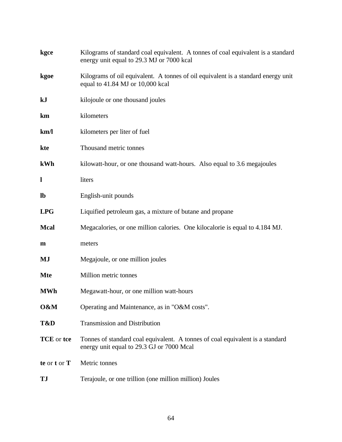| kgce          | Kilograms of standard coal equivalent. A tonnes of coal equivalent is a standard<br>energy unit equal to 29.3 MJ or 7000 kcal |
|---------------|-------------------------------------------------------------------------------------------------------------------------------|
| kgoe          | Kilograms of oil equivalent. A tonnes of oil equivalent is a standard energy unit<br>equal to 41.84 MJ or 10,000 kcal         |
| kJ            | kilojoule or one thousand joules                                                                                              |
| km            | kilometers                                                                                                                    |
| km/1          | kilometers per liter of fuel                                                                                                  |
| kte           | Thousand metric tonnes                                                                                                        |
| kWh           | kilowatt-hour, or one thousand watt-hours. Also equal to 3.6 megajoules                                                       |
| l             | liters                                                                                                                        |
| $\mathbf{lb}$ | English-unit pounds                                                                                                           |
| <b>LPG</b>    | Liquified petroleum gas, a mixture of butane and propane                                                                      |
| <b>Mcal</b>   | Megacalories, or one million calories. One kilocalorie is equal to 4.184 MJ.                                                  |
| m             | meters                                                                                                                        |
| MJ            | Megajoule, or one million joules                                                                                              |
| <b>Mte</b>    | Million metric tonnes                                                                                                         |
| <b>MWh</b>    | Megawatt-hour, or one million watt-hours                                                                                      |
| O&M           | Operating and Maintenance, as in "O&M costs".                                                                                 |
| T&D           | <b>Transmission and Distribution</b>                                                                                          |
| TCE or tce    | Tonnes of standard coal equivalent. A tonnes of coal equivalent is a standard<br>energy unit equal to 29.3 GJ or 7000 Mcal    |
| te or t or T  | Metric tonnes                                                                                                                 |
| TJ            | Terajoule, or one trillion (one million million) Joules                                                                       |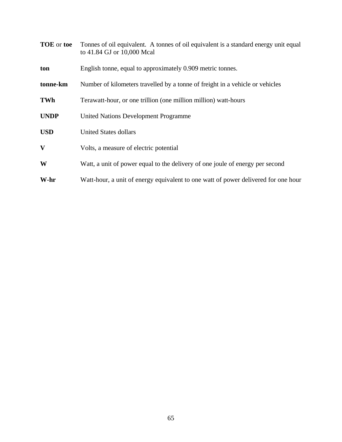| <b>TOE</b> or toe | Tonnes of oil equivalent. A tonnes of oil equivalent is a standard energy unit equal<br>to 41.84 GJ or 10,000 Mcal |
|-------------------|--------------------------------------------------------------------------------------------------------------------|
| ton               | English tonne, equal to approximately 0.909 metric tonnes.                                                         |
| tonne-km          | Number of kilometers travelled by a tonne of freight in a vehicle or vehicles                                      |
| TWh               | Terawatt-hour, or one trillion (one million million) watt-hours                                                    |
| <b>UNDP</b>       | <b>United Nations Development Programme</b>                                                                        |
| <b>USD</b>        | <b>United States dollars</b>                                                                                       |
| V                 | Volts, a measure of electric potential                                                                             |
| W                 | Watt, a unit of power equal to the delivery of one joule of energy per second                                      |
| W-hr              | Watt-hour, a unit of energy equivalent to one watt of power delivered for one hour                                 |